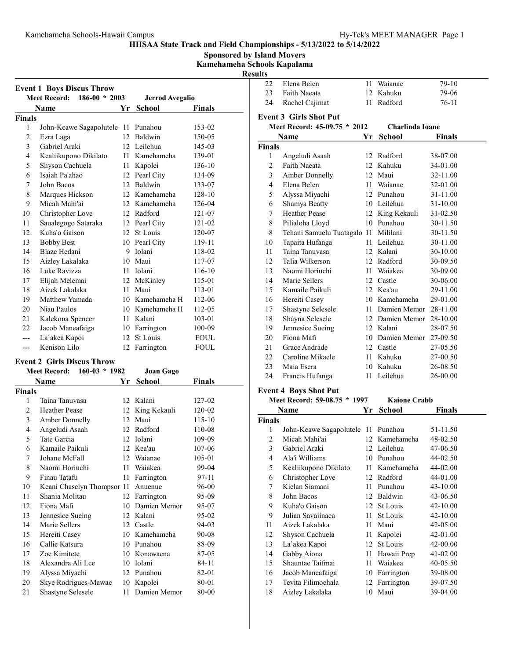Sponsored by Island Movers Kamehameha Schools Kapalama

Result

| <b>Event 1 Boys Discus Throw</b> |                                        |                  |                        |             |
|----------------------------------|----------------------------------------|------------------|------------------------|-------------|
|                                  | <b>Meet Record:</b><br>$186-00 * 2003$ |                  | <b>Jerrod Avegalio</b> |             |
|                                  | Name                                   | Yr               | School                 | Finals      |
| <b>Finals</b>                    |                                        |                  |                        |             |
| 1                                | John-Keawe Sagapolutele                | 11               | Punahou                | 153-02      |
| $\overline{2}$                   | Ezra Laga                              | 12               | Baldwin                | 150-05      |
| 3                                | Gabriel Araki                          |                  | 12 Leilehua            | 145-03      |
| 4                                | Kealiikupono Dikilato                  |                  | 11 Kamehameha          | 139-01      |
| 5                                | Shyson Cachuela                        | 11               | Kapolei                | 136-10      |
| 6                                | Isaiah Pa'ahao                         | 12               | Pearl City             | 134-09      |
| 7                                | John Bacos                             | 12               | <b>Baldwin</b>         | 133-07      |
| 8                                | Marques Hickson                        |                  | 12 Kamehameha          | 128-10      |
| 9                                | Micah Mahi'ai                          |                  | 12 Kamehameha          | 126-04      |
| 10                               | Christopher Love                       | 12               | Radford                | 121-07      |
| 11                               | Saualegogo Sataraka                    |                  | 12 Pearl City          | $121 - 02$  |
| 12                               | Kuha'o Gaison                          | 12               | St Louis               | 120-07      |
| 13                               | <b>Bobby Best</b>                      | 10               | Pearl City             | 119-11      |
| 14                               | Blaze Hedani                           | 9                | Iolani                 | 118-02      |
| 15                               | Aizley Lakalaka                        |                  | 10 Maui                | 117-07      |
| 16                               | Luke Ravizza                           |                  | 11 Iolani              | $116 - 10$  |
| 17                               | Elijah Melemai                         | 12               | McKinley               | 115-01      |
| 18                               | Aizek Lakalaka                         | 11               | Maui                   | 113-01      |
| 19                               | Matthew Yamada                         |                  | 10 Kamehameha H        | 112-06      |
| 20                               | Niau Paulos                            |                  | 10 Kamehameha H        | 112-05      |
| 21                               | Kalekona Spencer                       |                  | 11 Kalani              | 103-01      |
| 22                               | Jacob Maneafaiga                       |                  | 10 Farrington          | 100-09      |
|                                  | La'akea Kapoi                          | 12 <sup>12</sup> | St Louis               | <b>FOUL</b> |
| ---                              | Kenison Lilo                           | 12               | Farrington             | <b>FOUL</b> |

# Event 2 Girls Discus Throw

|        | $160-03 * 1982$<br><b>Meet Record:</b> |    | Joan Gago     |        |
|--------|----------------------------------------|----|---------------|--------|
|        | Name                                   | Yr | <b>School</b> | Finals |
| Finals |                                        |    |               |        |
| 1      | Taina Tanuvasa                         | 12 | Kalani        | 127-02 |
| 2      | <b>Heather Pease</b>                   | 12 | King Kekauli  | 120-02 |
| 3      | Amber Donnelly                         | 12 | Maui          | 115-10 |
| 4      | Angeludi Asaah                         | 12 | Radford       | 110-08 |
| 5      | Tate Garcia                            | 12 | Iolani        | 109-09 |
| 6      | Kamaile Paikuli                        | 12 | Kea'au        | 107-06 |
| 7      | Johane McFall                          | 12 | Waianae       | 105-01 |
| 8      | Naomi Horiuchi                         | 11 | Waiakea       | 99-04  |
| 9      | Finau Tatafu                           | 11 | Farrington    | 97-11  |
| 10     | Keani Chaselyn Thompsor 11             |    | Anuenue       | 96-00  |
| 11     | Shania Molitau                         | 12 | Farrington    | 95-09  |
| 12     | Fiona Mafi                             | 10 | Damien Memor  | 95-07  |
| 13     | Jennesice Sueing                       | 12 | Kalani        | 95-02  |
| 14     | Marie Sellers                          |    | 12 Castle     | 94-03  |
| 15     | Hereiti Casey                          | 10 | Kamehameha    | 90-08  |
| 16     | Callie Katsura                         | 10 | Punahou       | 88-09  |
| 17     | Zoe Kimitete                           | 10 | Konawaena     | 87-05  |
| 18     | Alexandra Ali Lee                      | 10 | Iolani        | 84-11  |
| 19     | Alyssa Miyachi                         | 12 | Punahou       | 82-01  |
| 20     | Skye Rodrigues-Mawae                   | 10 | Kapolei       | 80-01  |
| 21     | Shastyne Selesele                      | 11 | Damien Memor  | 80-00  |

| ılts           |                               |        |                 |          |
|----------------|-------------------------------|--------|-----------------|----------|
| 22             | Elena Belen                   | 11     | Waianae         | $79-10$  |
| 23             | Faith Naeata                  |        | 12 Kahuku       | 79-06    |
| 24             | Rachel Cajimat                | 11     | Radford         | $76-11$  |
|                | <b>Event 3 Girls Shot Put</b> |        |                 |          |
|                | Meet Record: 45-09.75 * 2012  |        | Charlinda Ioane |          |
| Name           |                               | Yr     | <b>School</b>   | Finals   |
| Finals         |                               |        |                 |          |
| 1              | Angeludi Asaah                | 12     | Radford         | 38-07.00 |
| $\overline{2}$ | <b>Faith Naeata</b>           | 12     | Kahuku          | 34-01.00 |
| 3              | Amber Donnelly                |        | 12 Maui         | 32-11.00 |
| $\overline{4}$ | Elena Belen                   | $11 -$ | Waianae         | 32-01.00 |
| 5              | Alyssa Miyachi                |        | 12 Punahou      | 31-11.00 |
| 6              | Shamya Beatty                 |        | 10 Leilehua     | 31-10.00 |
| 7              | <b>Heather Pease</b>          |        | 12 King Kekauli | 31-02.50 |
| 8              | Pilialoha Lloyd               | 10     | Punahou         | 30-11.50 |
| 8              | Tehani Samuelu Tuatagalo 11   |        | Mililani        | 30-11.50 |
| 10             | Tapaita Hufanga               | 11     | Leilehua        | 30-11.00 |
| 11             | Taina Tanuvasa                | 12     | Kalani          | 30-10.00 |
| 12             | Talia Wilkerson               |        | 12 Radford      | 30-09.50 |
| 13             | Naomi Horiuchi                | 11     | Waiakea         | 30-09.00 |
| 14             | Marie Sellers                 | 12     | Castle          | 30-06.00 |
| 15             | Kamaile Paikuli               |        | 12 Kea'au       | 29-11.00 |
| 16             | Hereiti Casey                 |        | 10 Kamehameha   | 29-01.00 |
| 17             | Shastyne Selesele             |        | 11 Damien Memor | 28-11.00 |
| 18             | Shayna Selesele               |        | 12 Damien Memor | 28-10.00 |
| 19             | Jennesice Sueing              |        | 12 Kalani       | 28-07.50 |
| 20             | Fiona Mafi                    |        | 10 Damien Memor | 27-09.50 |
| 21             | Grace Andrade                 |        | 12 Castle       | 27-05.50 |
| 22             | Caroline Mikaele              | 11     | Kahuku          | 27-00.50 |
| 23             | Maia Esera                    | 10     | Kahuku          | 26-08.50 |
| 24             | Francis Hufanga               | 11     | Leilehua        | 26-00.00 |
|                |                               |        |                 |          |

# Event 4 Boys Shot Put

| EVEIIL 4 DOYS SHOL FUL |                                    |    |                     |          |  |
|------------------------|------------------------------------|----|---------------------|----------|--|
|                        | Meet Record: 59-08.75 * 1997       |    | <b>Kaione Crabb</b> |          |  |
|                        | Name                               | Yr | School              | Finals   |  |
| <b>Finals</b>          |                                    |    |                     |          |  |
| 1                      | John-Keawe Sagapolutele 11 Punahou |    |                     | 51-11.50 |  |
| 2                      | Micah Mahi'ai                      |    | 12 Kamehameha       | 48-02.50 |  |
| 3                      | Gabriel Araki                      |    | 12 Leilehua         | 47-06.50 |  |
| 4                      | Ala'i Williams                     | 10 | Punahou             | 44-02.50 |  |
| 5                      | Kealiikupono Dikilato              |    | 11 Kamehameha       | 44-02.00 |  |
| 6                      | Christopher Love                   |    | 12 Radford          | 44-01.00 |  |
| 7                      | Kielan Siamani                     | 11 | Punahou             | 43-10.00 |  |
| 8                      | John Bacos                         | 12 | Baldwin             | 43-06.50 |  |
| 9                      | Kuha'o Gaison                      | 12 | St Louis            | 42-10.00 |  |
| 9                      | Julian Savaiinaea                  | 11 | St Louis            | 42-10.00 |  |
| 11                     | Aizek Lakalaka                     | 11 | Maui                | 42-05.00 |  |
| 12                     | Shyson Cachuela                    | 11 | Kapolei             | 42-01.00 |  |
| 13                     | La`akea Kapoi                      | 12 | St Louis            | 42-00.00 |  |
| 14                     | Gabby Aiona                        | 11 | Hawaii Prep         | 41-02.00 |  |
| 15                     | Shauntae Taifmai                   | 11 | Waiakea             | 40-05.50 |  |
| 16                     | Jacob Maneafaiga                   | 10 | Farrington          | 39-08.00 |  |
| 17                     | Tevita Filimoehala                 | 12 | Farrington          | 39-07.50 |  |
| 18                     | Aizley Lakalaka                    |    | 10 Maui             | 39-04.00 |  |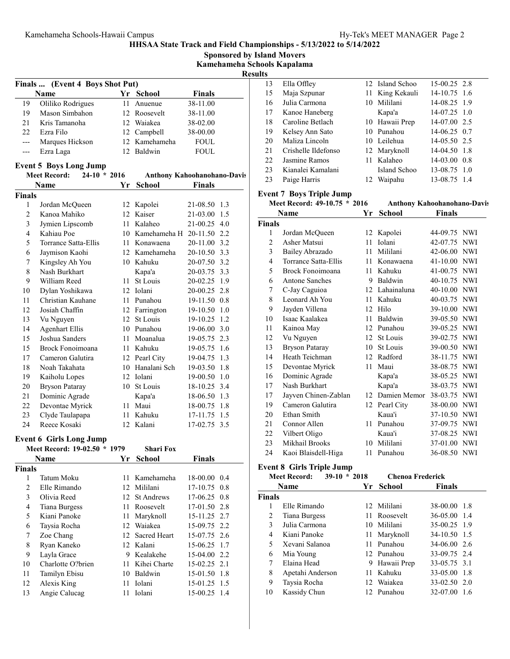|                |                                       |    |                              | Kamehameha Schools Kapalama |                |                        |
|----------------|---------------------------------------|----|------------------------------|-----------------------------|----------------|------------------------|
|                |                                       |    |                              |                             | <b>Results</b> |                        |
|                | Finals  (Event 4 Boys Shot Put)       |    |                              |                             | 13             | Ella Offley            |
|                | Name                                  |    | Yr School                    | <b>Finals</b>               | 15             | Maja Szpu              |
| 19             | Oliliko Rodrigues                     |    | 11 Anuenue                   | 38-11.00                    | 16             | Julia Carm             |
| 19             | Mason Simbahon                        |    | 12 Roosevelt                 | 38-11.00                    | 17             | Kanoe Har              |
| 21             | Kris Tamanoha                         |    | 12 Waiakea                   | 38-02.00                    | 18             | Caroline B             |
| 22             | Ezra Filo                             |    | 12 Campbell                  | 38-00.00                    | 19             | Kelsey An              |
| $---$          | Marques Hickson                       |    | 12 Kamehameha                | <b>FOUL</b>                 | 20             | Maliza Lir             |
| ---            | Ezra Laga                             |    | 12 Baldwin                   | <b>FOUL</b>                 | 21             | Crishelle I            |
|                |                                       |    |                              |                             | 22             | Jasmine Ra             |
|                | <b>Event 5 Boys Long Jump</b>         |    |                              |                             | 23             | Kianalei K             |
|                | $24-10 * 2016$<br><b>Meet Record:</b> |    |                              | Anthony Kahoohanohano-Davis | 23             | Paige Harr             |
|                | Name                                  | Yr | <b>School</b>                | <b>Finals</b>               |                |                        |
| Finals         |                                       |    |                              |                             |                | <b>Event 7 Boys To</b> |
| 1              | Jordan McQueen                        |    | 12 Kapolei                   | 21-08.50 1.3                |                | <b>Meet Record:</b>    |
| $\overline{2}$ | Kanoa Mahiko                          |    | 12 Kaiser                    | 21-03.00 1.5                |                | Name                   |
| 3              | Jymien Lipscomb                       |    | 11 Kalaheo                   | 21-00.25 4.0                | <b>Finals</b>  |                        |
| $\overline{4}$ | Kahiau Poe                            |    | 10 Kamehameha H 20-11.50 2.2 |                             | $\mathbf{1}$   | Jordan Mc              |
| 5              | Torrance Satta-Ellis                  |    | 11 Konawaena                 | 20-11.00 3.2                | $\overline{2}$ | Asher Mat              |
| 6              | Jaymison Kaohi                        |    | 12 Kamehameha                | 20-10.50 3.3                | 3              | Bailey Abr             |
| 7              | Kingsley Ah You                       |    | 10 Kahuku                    | 20-07.50 3.2                | 4              | Torrance S             |
| 8              | Nash Burkhart                         |    | Kapa'a                       | 20-03.75 3.3                | 5              | <b>Brock Fon</b>       |
| 9              | William Reed                          |    | 11 St Louis                  | 20-02.25 1.9                | 6              | Antone Sa              |
| 10             | Dylan Yoshikawa                       |    | 12 Iolani                    | 20-00.25 2.8                | 7              | C-Jay Cag              |
| 11             | Christian Kauhane                     |    | 11 Punahou                   | 19-11.50 0.8                | 8              | Leonard A              |
| 12             | Josiah Chaffin                        |    | 12 Farrington                | 19-10.50 1.0                | 9              | Jayden Vil             |
| 13             | Vu Nguyen                             |    | 12 St Louis                  | 19-10.25 1.2                | 10             | Isaac Kaal             |
| 14             | <b>Agenhart Ellis</b>                 |    | 10 Punahou                   | 19-06.00 3.0                | 11             | Kainoa Ma              |
| 15             | Joshua Sanders                        |    | 11 Moanalua                  | 19-05.75 2.3                | 12             | Vu Nguyei              |
| 15             | Brock Fonoimoana                      |    | 11 Kahuku                    | 19-05.75 1.6                | 13             | Bryson Pa              |
| 17             | Cameron Galutira                      |    | 12 Pearl City                | 19-04.75 1.3                | 14             | Heath Teic             |
| 18             | Noah Takahata                         |    | 10 Hanalani Sch              | 19-03.50 1.8                | 15             | Devontae l             |
| 19             | Kaiholu Lopes                         |    | 12 Iolani                    | 19-00.50 1.0                | 16             | Dominic A              |
| 20             | <b>Bryson Pataray</b>                 |    | 10 St Louis                  | 18-10.25 3.4                | 17             | Nash Burk              |
| 21             | Dominic Agrade                        |    | Kapa'a                       | 18-06.50 1.3                | 17             | Jayven Ch              |
| 22             | Devontae Myrick                       |    | 11 Maui                      | 18-00.75 1.8                | 19             | Cameron C              |
| 23             | Clyde Taulapapa                       |    | 11 Kahuku                    | 17-11.75 1.5                | 20             | Ethan Smi              |
| 24             | Reece Kosaki                          |    | 12 Kalani                    | 17-02.75 3.5                | 21             | Connor Al              |
|                |                                       |    |                              |                             | 22             | Vilbert Oli            |
|                | <b>Event 6 Girls Long Jump</b>        |    |                              |                             | 23             | Mikhail Bi             |
|                | Meet Record: 19-02.50 * 1979          |    | <b>Shari Fox</b>             |                             | 24             | Kaoi Blais             |
|                | <b>Name</b>                           | Yr | <b>School</b>                | <b>Finals</b>               |                |                        |
| Finals         |                                       |    |                              |                             |                | <b>Event 8 Girls T</b> |
| $\mathbf{1}$   | Tatum Moku                            |    | 11 Kamehameha                | 18-00.00 0.4                |                | <b>Meet Record:</b>    |
| $\overline{c}$ | Elle Rimando                          |    | 12 Mililani                  | 17-10.75 0.8                |                | Name                   |
| $\mathfrak{Z}$ | Olivia Reed                           |    | 12 St Andrews                | $17-06.25$ 0.8              | <b>Finals</b>  |                        |
| $\overline{4}$ | <b>Tiana Burgess</b>                  |    | 11 Roosevelt                 | 17-01.50 2.8                | 1              | Elle Rimar             |
| 5              | Kiani Panoke                          | 11 | Maryknoll                    | 15-11.25 2.7                | 2              | Tiana Burg             |
| 6              | Taysia Rocha                          |    | 12 Waiakea                   | 15-09.75 2.2                | 3              | Julia Carm             |
| 7              | Zoe Chang                             |    | 12 Sacred Heart              | 15-07.75 2.6                | $\overline{4}$ | Kiani Pano             |
| 8              | Ryan Kaneko                           |    | 12 Kalani                    | 15-06.25 1.7                | 5              | Xevani Sa              |
| 9              | Layla Grace                           |    | 9 Kealakehe                  | 15-04.00 2.2                | 6              | Mia Young              |
| 10             | Charlotte O?brien                     |    | 11 Kihei Charte              | 15-02.25 2.1                | 7              | Elaina Hea             |
| 11             | Tamilyn Ebisu                         |    | 10 Baldwin                   | 15-01.50 1.8                | 8              | Apetahi Ar             |
| 12             | Alexis King                           |    | 11 Iolani                    | 15-01.25 1.5                | 9              | Taysia Roo             |
| 13             | Angie Calucag                         |    | 11 Iolani                    | 15-00.25 1.4                | 10             | Kassidy Cl             |
|                |                                       |    |                              |                             |                |                        |

| 13 | Ella Offley         | 12 Island Schoo | $15-00.25$ 2.8 |  |
|----|---------------------|-----------------|----------------|--|
| 15 | Maja Szpunar        | 11 King Kekauli | 14-10.75 1.6   |  |
| 16 | Julia Carmona       | 10 Mililani     | 14-08.25 1.9   |  |
| 17 | Kanoe Haneberg      | Kapa'a          | 14-07.25 1.0   |  |
| 18 | Caroline Betlach    | 10 Hawaii Prep  | 14-07.00 2.5   |  |
| 19 | Kelsey Ann Sato     | 10 Punahou      | $14-06.25$ 0.7 |  |
| 20 | Maliza Lincoln      | 10 Leilehua     | 14-05.50 2.5   |  |
| 21 | Crishelle Ildefonso | 12 Maryknoll    | 14-04.50 1.8   |  |
| 22 | Jasmine Ramos       | 11 Kalaheo      | $14-03.00$ 0.8 |  |
| 23 | Kianalei Kamalani   | Island Schoo    | 13-08.75 1.0   |  |
| 23 | Paige Harris        | 12 Waipahu      | 13-08.75 1.4   |  |

### Event 7 Boys Triple Jump

Sponsored by Island Movers

| Meet Record: 49-10.75 * 2016 |                       |    | <b>Anthony Kahoohanohano-Davis</b> |               |            |
|------------------------------|-----------------------|----|------------------------------------|---------------|------------|
|                              | Name                  | Yr | <b>School</b>                      | <b>Finals</b> |            |
| Finals                       |                       |    |                                    |               |            |
| 1                            | Jordan McQueen        |    | 12 Kapolei                         | 44-09.75 NWI  |            |
| $\overline{c}$               | Asher Matsui          | 11 | <b>Iolani</b>                      | 42-07.75      | <b>NWI</b> |
| 3                            | Bailey Abrazado       | 11 | Mililani                           | 42-06.00 NWI  |            |
| $\overline{4}$               | Torrance Satta-Ellis  | 11 | Konawaena                          | $41 - 10.00$  | <b>NWI</b> |
| 5                            | Brock Fonoimoana      | 11 | Kahuku                             | 41-00.75 NWI  |            |
| 6                            | Antone Sanches        | 9  | Baldwin                            | 40-10.75      | <b>NWI</b> |
| 7                            | C-Jay Caguioa         | 12 | Lahainaluna                        | $40 - 10.00$  | <b>NWI</b> |
| 8                            | Leonard Ah You        | 11 | Kahuku                             | 40-03.75 NWI  |            |
| 9                            | Jayden Villena        | 12 | Hilo                               | 39-10.00      | <b>NWI</b> |
| 10                           | Isaac Kaalakea        | 11 | Baldwin                            | 39-05.50 NWI  |            |
| 11                           | Kainoa May            | 12 | Punahou                            | 39-05.25 NWI  |            |
| 12                           | Vu Nguyen             | 12 | St Louis                           | 39-02.75      | <b>NWI</b> |
| 13                           | <b>Bryson Pataray</b> | 10 | St Louis                           | 39-00.50 NWI  |            |
| 14                           | Heath Teichman        |    | 12 Radford                         | 38-11.75 NWI  |            |
| 15                           | Devontae Myrick       | 11 | Maui                               | 38-08.75 NWI  |            |
| 16                           | Dominic Agrade        |    | Kapa'a                             | 38-05.25 NWI  |            |
| 17                           | Nash Burkhart         |    | Kapa'a                             | 38-03.75      | <b>NWI</b> |
| 17                           | Jayven Chinen-Zablan  | 12 | Damien Memor                       | 38-03.75      | <b>NWI</b> |
| 19                           | Cameron Galutira      |    | 12 Pearl City                      | 38-00.00 NWI  |            |
| 20                           | Ethan Smith           |    | Kaua'i                             | $37-10.50$    | <b>NWI</b> |
| 21                           | Connor Allen          | 11 | Punahou                            | 37-09.75      | <b>NWI</b> |
| 22                           | Vilbert Oligo         |    | Kaua'i                             | 37-08.25      | NWI        |
| 23                           | Mikhail Brooks        | 10 | Mililani                           | 37-01.00 NWI  |            |
| 24                           | Kaoi Blaisdell-Higa   | 11 | Punahou                            | 36-08.50      | <b>NWI</b> |

# Event 8 Girls Triple Jump

|               | $39-10 * 2018$<br><b>Chenoa Frederick</b><br><b>Meet Record:</b> |    |               |               |  |
|---------------|------------------------------------------------------------------|----|---------------|---------------|--|
|               | <b>Name</b>                                                      | Yr | School        | <b>Finals</b> |  |
| <b>Finals</b> |                                                                  |    |               |               |  |
|               | Elle Rimando                                                     |    | 12 Mililani   | 38-00.00 1.8  |  |
| 2             | Tiana Burgess                                                    |    | 11 Roosevelt  | 36-05.00 1.4  |  |
| 3             | Julia Carmona                                                    |    | 10 Mililani   | 35-00.25 1.9  |  |
| 4             | Kiani Panoke                                                     |    | 11 Maryknoll  | 34-10.50 1.5  |  |
| 5             | Xevani Salanoa                                                   |    | 11 Punahou    | 34-06.00 2.6  |  |
| 6             | Mia Young                                                        |    | 12 Punahou    | 33-09.75 2.4  |  |
| 7             | Elaina Head                                                      |    | 9 Hawaii Prep | 33-05.75 3.1  |  |
| 8             | Apetahi Anderson                                                 |    | 11 Kahuku     | 33-05.00 1.8  |  |
| 9             | Taysia Rocha                                                     |    | 12 Waiakea    | 33-02.50 2.0  |  |
| 10            | Kassidy Chun                                                     |    | 12 Punahou    | 32-07.00 1.6  |  |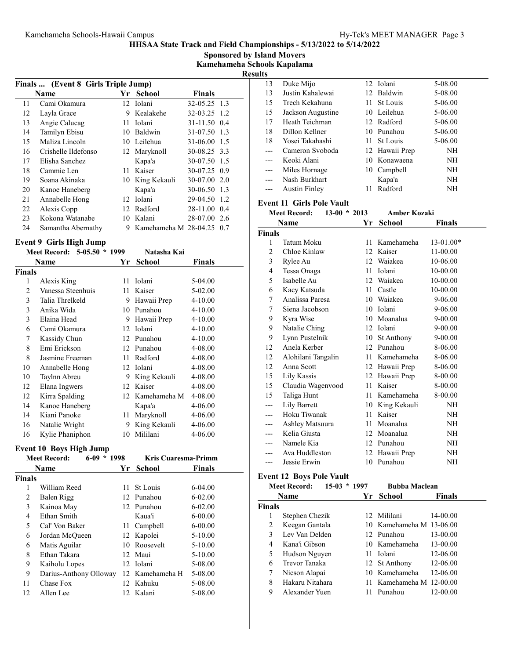Sponsored by Island Movers

Kamehameha Schools Kapalama

| esult |
|-------|
|-------|

|    |                                     |     |                           |               | ĸ |  |
|----|-------------------------------------|-----|---------------------------|---------------|---|--|
|    | Finals  (Event 8 Girls Triple Jump) |     |                           |               |   |  |
|    | Name                                |     | Yr School                 | <b>Finals</b> |   |  |
| 11 | Cami Okamura                        |     | 12 Iolani                 | 32-05.25 1.3  |   |  |
| 12 | Layla Grace                         | 9   | Kealakehe                 | 32-03.25 1.2  |   |  |
| 13 | Angie Calucag                       | 11. | <b>Iolani</b>             | 31-11.50 0.4  |   |  |
| 14 | Tamilyn Ebisu                       |     | 10 Baldwin                | 31-07.50 1.3  |   |  |
| 15 | Maliza Lincoln                      | 10  | Leilehua                  | 31-06.00 1.5  |   |  |
| 16 | Crishelle Ildefonso                 |     | 12 Maryknoll              | 30-08.25 3.3  |   |  |
| 17 | Elisha Sanchez                      |     | Kapa'a                    | 30-07.50 1.5  |   |  |
| 18 | Cammie Len                          |     | 11 Kaiser                 | 30-07.25 0.9  |   |  |
| 19 | Soana Akinaka                       | 10  | King Kekauli              | 30-07.00 2.0  |   |  |
| 20 | Kanoe Haneberg                      |     | Kapa'a                    | 30-06.50 1.3  |   |  |
| 21 | Annabelle Hong                      | 12. | <b>Iolani</b>             | 29-04.50 1.2  |   |  |
| 22 | Alexis Copp                         |     | 12 Radford                | 28-11.00 0.4  |   |  |
| 23 | Kokona Watanabe                     | 10  | Kalani                    | 28-07.00 2.6  |   |  |
| 24 | Samantha Abernathy                  | 9.  | Kamehameha M 28-04.25 0.7 |               |   |  |

# Event 9 Girls High Jump

|               | 5-05.50 * 1999<br><b>Meet Record:</b> |    | Natasha Kai   |             |
|---------------|---------------------------------------|----|---------------|-------------|
|               | Name                                  | Yr | School        | Finals      |
| <b>Finals</b> |                                       |    |               |             |
| 1             | Alexis King                           | 11 | Iolani        | 5-04.00     |
| 2             | Vanessa Steenhuis                     | 11 | Kaiser        | 5-02.00     |
| 3             | Talia Threlkeld                       | 9  | Hawaii Prep   | 4-10.00     |
| 3             | Anika Wida                            | 10 | Punahou       | $4 - 10.00$ |
| 3             | Elaina Head                           | 9  | Hawaii Prep   | $4 - 10.00$ |
| 6             | Cami Okamura                          | 12 | <b>Iolani</b> | $4 - 10.00$ |
| 7             | Kassidy Chun                          | 12 | Punahou       | $4 - 10.00$ |
| 8             | Emi Erickson                          | 12 | Punahou       | 4-08.00     |
| 8             | Jasmine Freeman                       | 11 | Radford       | 4-08.00     |
| 10            | Annabelle Hong                        | 12 | <b>Iolani</b> | 4-08.00     |
| 10            | Taylnn Abreu                          | 9  | King Kekauli  | 4-08.00     |
| 12            | Elana Ingwers                         | 12 | Kaiser        | 4-08.00     |
| 12            | Kirra Spalding                        | 12 | Kamehameha M  | 4-08.00     |
| 14            | Kanoe Haneberg                        |    | Kapa'a        | 4-06.00     |
| 14            | Kiani Panoke                          | 11 | Maryknoll     | 4-06.00     |
| 16            | Natalie Wright                        | 9  | King Kekauli  | 4-06.00     |
| 16            | Kylie Phaniphon                       | 10 | Mililani      | 4-06.00     |

# Event 10 Boys High Jump

|               | $6-09 * 1998$<br><b>Meet Record:</b> | <b>Kris Cuaresma-Primm</b> |               |
|---------------|--------------------------------------|----------------------------|---------------|
|               | <b>Name</b>                          | Yr School                  | <b>Finals</b> |
| <b>Finals</b> |                                      |                            |               |
| 1             | William Reed                         | 11 St Louis                | $6 - 04.00$   |
| 2             | Balen Rigg                           | 12 Punahou                 | $6 - 02.00$   |
| 3             | Kainoa May                           | 12 Punahou                 | $6 - 02.00$   |
| 4             | Ethan Smith                          | Kaua'i                     | $6 - 00.00$   |
| 5             | Cal' Von Baker                       | 11 Campbell                | $6 - 00.00$   |
| 6             | Jordan McQueen                       | 12 Kapolei                 | $5 - 10.00$   |
| 6             | Matis Aguilar                        | 10 Roosevelt               | $5 - 10.00$   |
| 8             | Ethan Takara                         | 12 Maui                    | $5 - 10.00$   |
| 9             | Kaiholu Lopes                        | 12 Iolani                  | 5-08.00       |
| 9             | Darius-Anthony Olloway               | 12 Kamehameha H            | 5-08.00       |
| 11            | Chase Fox                            | 12 Kahuku                  | 5-08.00       |
| 12            | Allen Lee                            | 12 Kalani                  | 5-08.00       |
|               |                                      |                            |               |

| τs    |                      |    |                |         |
|-------|----------------------|----|----------------|---------|
| 13    | Duke Mijo            |    | 12 Iolani      | 5-08.00 |
| 13    | Justin Kahalewai     |    | 12 Baldwin     | 5-08.00 |
| 15    | Trech Kekahuna       |    | 11 St Louis    | 5-06.00 |
| 15    | Jackson Augustine    |    | 10 Leilehua    | 5-06.00 |
| 17    | Heath Teichman       |    | 12 Radford     | 5-06.00 |
| 18    | Dillon Kellner       |    | 10 Punahou     | 5-06.00 |
| 18    | Yosei Takahashi      |    | 11 St Louis    | 5-06.00 |
| $---$ | Cameron Svoboda      |    | 12 Hawaii Prep | NH      |
| $---$ | Keoki Alani          |    | 10 Konawaena   | NH      |
| $---$ | Miles Hornage        |    | 10 Campbell    | NH      |
| $---$ | Nash Burkhart        |    | Kapa'a         | NH      |
| ---   | <b>Austin Finley</b> | 11 | Radford        | NΗ      |
|       |                      |    |                |         |

### Event 11 Girls Pole Vault

| <b>Meet Record:</b><br>$13-00 * 2013$ |                    |    | <b>Amber Kozaki</b> |               |
|---------------------------------------|--------------------|----|---------------------|---------------|
|                                       | Name               | Yr | <b>School</b>       | <b>Finals</b> |
| <b>Finals</b>                         |                    |    |                     |               |
| 1                                     | Tatum Moku         | 11 | Kamehameha          | $13-01.00*$   |
| 2                                     | Chloe Kinlaw       | 12 | Kaiser              | $11-00.00$    |
| 3                                     | Rylee Au           |    | 12 Waiakea          | 10-06.00      |
| 4                                     | Tessa Onaga        | 11 | Iolani              | 10-00.00      |
| 5                                     | Isabelle Au        | 12 | Waiakea             | 10-00.00      |
| 6                                     | Kacy Katsuda       | 11 | Castle              | 10-00.00      |
| 7                                     | Analissa Paresa    |    | 10 Waiakea          | 9-06.00       |
| 7                                     | Siena Jacobson     |    | 10 Iolani           | 9-06.00       |
| 9                                     | Kyra Wise          |    | 10 Moanalua         | $9 - 00.00$   |
| 9                                     | Natalie Ching      | 12 | Iolani              | $9 - 00.00$   |
| 9                                     | Lynn Pustelnik     | 10 | St Anthony          | $9 - 00.00$   |
| 12                                    | Anela Kerber       | 12 | Punahou             | 8-06.00       |
| 12                                    | Alohilani Tangalin |    | 11 Kamehameha       | 8-06.00       |
| 12                                    | Anna Scott         |    | 12 Hawaii Prep      | 8-06.00       |
| 15                                    | Lily Kassis        | 12 | Hawaii Prep         | 8-00.00       |
| 15                                    | Claudia Wagenvood  | 11 | Kaiser              | 8-00.00       |
| 15                                    | Taliga Hunt        |    | 11 Kamehameha       | 8-00.00       |
|                                       | Lily Barrett       | 10 | King Kekauli        | NH            |
|                                       | Hoku Tiwanak       | 11 | Kaiser              | NH.           |
|                                       | Ashley Matsuura    |    | 11 Moanalua         | NH            |
|                                       | Kelia Giusta       |    | 12 Moanalua         | NH            |
|                                       | Namele Kia         | 12 | Punahou             | NH            |
|                                       | Ava Huddleston     |    | 12 Hawaii Prep      | NH            |
|                                       | Jessie Erwin       | 10 | Punahou             | NH            |

# Event 12 Boys Pole Vault

|               | <b>Meet Record:</b> | $15-03 * 1997$ |    | <b>Bubba Maclean</b>     |               |
|---------------|---------------------|----------------|----|--------------------------|---------------|
|               | Name                |                | Yr | <b>School</b>            | <b>Finals</b> |
| <b>Finals</b> |                     |                |    |                          |               |
| 1             | Stephen Chezik      |                |    | 12 Mililani              | 14-00.00      |
| 2             | Keegan Gantala      |                |    | 10 Kamehameha M 13-06.00 |               |
| 3             | Lev Van Delden      |                |    | 12 Punahou               | 13-00.00      |
| 4             | Kana'i Gibson       |                |    | 10 Kamehameha            | 13-00.00      |
| 5             | Hudson Nguyen       |                |    | 11 Iolani                | 12-06.00      |
| 6             | Trevor Tanaka       |                |    | 12 St Anthony            | 12-06.00      |
| 7             | Nicson Alapai       |                |    | 10 Kamehameha            | 12-06.00      |
| 8             | Hakaru Nitahara     |                |    | 11 Kamehameha M 12-00.00 |               |
| 9             | Alexander Yuen      |                | 11 | Punahou                  | 12-00.00      |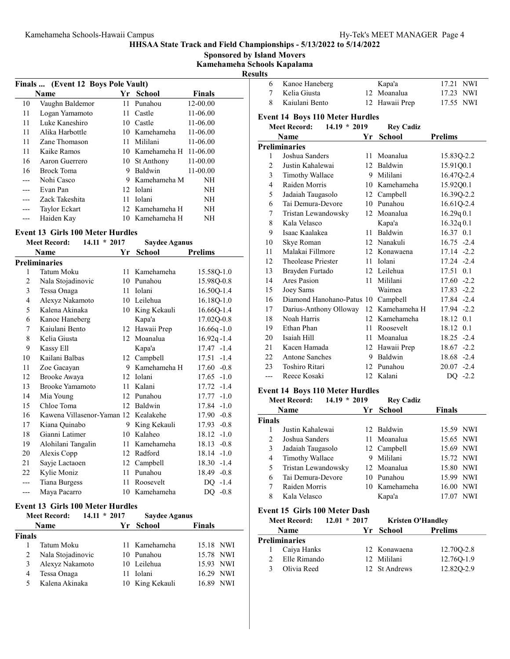Sponsored by Island Movers

Kamehameha Schools Kapalama

|    | Finals  (Event 12 Boys Pole Vault) |                 |                   |               |  |  |
|----|------------------------------------|-----------------|-------------------|---------------|--|--|
|    | <b>Name</b>                        | Yr              | <b>School</b>     | <b>Finals</b> |  |  |
| 10 | Vaughn Baldemor                    |                 | 11 Punahou        | $12 - 00.00$  |  |  |
| 11 | Logan Yamamoto                     | 11.             | Castle            | 11-06.00      |  |  |
| 11 | Luke Kaneshiro                     | 10              | Castle            | 11-06.00      |  |  |
| 11 | Alika Harbottle                    |                 | 10 Kamehameha     | 11-06.00      |  |  |
| 11 | Zane Thomason                      |                 | 11 Mililani       | 11-06.00      |  |  |
| 11 | Kaike Ramos                        |                 | 10 Kamehameha H   | 11-06.00      |  |  |
| 16 | Aaron Guerrero                     | 10              | <b>St Anthony</b> | 11-00.00      |  |  |
| 16 | Brock Toma                         | 9               | Baldwin           | $11 - 00.00$  |  |  |
|    | Nohi Casco                         | 9               | Kamehameha M      | NH            |  |  |
|    | Evan Pan                           | 12 <sup>1</sup> | Iolani            | NΗ            |  |  |
|    | Zack Takeshita                     | 11.             | <b>Iolani</b>     | NH            |  |  |
|    | Taylor Eckart                      |                 | 12 Kamehameha H   | NH            |  |  |
|    | Haiden Kay                         |                 | 10 Kamehameha H   | NΗ            |  |  |

#### Event 13 Girls 100 Meter Hurdles

| <b>Meet Record:</b><br>$14.11 * 2017$ |                            | <b>Saydee Aganus</b> |               |                 |
|---------------------------------------|----------------------------|----------------------|---------------|-----------------|
|                                       | Name                       | Yr                   | School        | <b>Prelims</b>  |
|                                       | Preliminaries              |                      |               |                 |
| 1                                     | Tatum Moku                 | 11                   | Kamehameha    | 15.58Q-1.0      |
| $\overline{2}$                        | Nala Stojadinovic          | 10                   | Punahou       | 15.98Q-0.8      |
| 3                                     | Tessa Onaga                | 11                   | <b>Iolani</b> | 16.50Q-1.4      |
| 4                                     | Alexyz Nakamoto            | 10                   | Leilehua      | 16.18Q-1.0      |
| 5                                     | Kalena Akinaka             | 10                   | King Kekauli  | 16.66Q-1.4      |
| 6                                     | Kanoe Haneberg             |                      | Kapa'a        | 17.02Q-0.8      |
| 7                                     | Kaiulani Bento             | 12                   | Hawaii Prep   | $16.66q - 1.0$  |
| 8                                     | Kelia Giusta               | 12                   | Moanalua      | $16.92q - 1.4$  |
| 9                                     | Kassy Ell                  |                      | Kapa'a        | $17.47 - 1.4$   |
| 10                                    | Kailani Balbas             |                      | 12 Campbell   | $17.51 - 1.4$   |
| 11                                    | Zoe Gacayan                | 9                    | Kamehameha H  | $17.60 - 0.8$   |
| 12                                    | Brooke Awaya               | 12                   | Iolani        | $17.65 - 1.0$   |
| 13                                    | <b>Brooke Yamamoto</b>     | 11                   | Kalani        | $17.72 - 1.4$   |
| 14                                    | Mia Young                  | 12                   | Punahou       | $17.77 - 1.0$   |
| 15                                    | Chloe Toma                 | 12                   | Baldwin       | $17.84 - 1.0$   |
| 16                                    | Kawena Villasenor-Yaman 12 |                      | Kealakehe     | $17.90 -0.8$    |
| 17                                    | Kiana Quinabo              | 9                    | King Kekauli  | $-0.8$<br>17.93 |
| 18                                    | Gianni Latimer             | 10                   | Kalaheo       | $18.12 - 1.0$   |
| 19                                    | Alohilani Tangalin         | 11                   | Kamehameha    | $18.13 - 0.8$   |
| 20                                    | Alexis Copp                | 12                   | Radford       | $18.14 - 1.0$   |
| 21                                    | Sayje Lactaoen             | 12                   | Campbell      | $18.30 -1.4$    |
| 22                                    | Kylie Moniz                | 11                   | Punahou       | 18.49<br>$-0.8$ |
| ---                                   | Tiana Burgess              | 11                   | Roosevelt     | $DO -1.4$       |
| $---$                                 | Maya Pacarro               |                      | 10 Kamehameha | DQ -0.8         |

#### Event 13 Girls 100 Meter Hurdles

|               | <b>Meet Record:</b> | $14.11 * 2017$ | <b>Saydee Aganus</b> |                     |
|---------------|---------------------|----------------|----------------------|---------------------|
|               | <b>Name</b>         |                | Yr School            | <b>Finals</b>       |
| <b>Finals</b> |                     |                |                      |                     |
|               | Tatum Moku          |                | 11 Kamehameha        | 15.18 NWI           |
| 2             | Nala Stojadinovic   |                | 10 Punahou           | 15.78 NWI           |
| 3             | Alexyz Nakamoto     |                | 10 Leilehua          | 15.93 NWI           |
| 4             | Tessa Onaga         | 11             | Iolani               | 16.29 NWI           |
| 5             | Kalena Akinaka      |                | 10 King Kekauli      | <b>NWI</b><br>16.89 |

| ılts           |                                        |     |                  |                |
|----------------|----------------------------------------|-----|------------------|----------------|
| 6              | Kanoe Haneberg                         |     | Kapa'a           | 17.21 NWI      |
| 7              | Kelia Giusta                           | 12. | Moanalua         | 17.23 NWI      |
| 8              | Kajulani Bento                         |     | 12 Hawaii Prep   | 17.55<br>NWI   |
|                | <b>Event 14 Boys 110 Meter Hurdles</b> |     |                  |                |
|                | <b>Meet Record:</b><br>$14.19 * 2019$  |     | <b>Rey Cadiz</b> |                |
|                | Name                                   | Yr  | <b>School</b>    | <b>Prelims</b> |
|                | <b>Preliminaries</b>                   |     |                  |                |
| 1              | Joshua Sanders                         | 11  | Moanalua         | 15.83Q-2.2     |
| $\overline{2}$ | Justin Kahalewai                       |     | 12 Baldwin       | 15.91Q0.1      |
| 3              | Timothy Wallace                        |     | 9 Mililani       | 16.47Q-2.4     |
| $\overline{4}$ | Raiden Morris                          |     | 10 Kamehameha    | 15.92Q0.1      |
| 5              | Jadaiah Taugasolo                      |     | 12 Campbell      | 16.39Q-2.2     |
| 6              | Tai Demura-Devore                      |     | 10 Punahou       | 16.61Q-2.4     |
| 7              | Tristan Lewandowsky                    | 12  | Moanalua         | 16.29q0.1      |
| 8              | Kala Velasco                           |     | Kapa'a           | 16.32q0.1      |
| 9              | Isaac Kaalakea                         |     | 11 Baldwin       | 16.37 0.1      |
| 10             | Skye Roman                             |     | 12 Nanakuli      | $16.75 -2.4$   |
| 11             | Malakai Fillmore                       |     | 12 Konawaena     | $17.14 -2.2$   |
| 12             | Theolease Priester                     |     | 11 Iolani        | 17.24 -2.4     |
| 13             | Brayden Furtado                        |     | 12 Leilehua      | 17.51 0.1      |
| 14             | Ares Pasion                            | 11  | Mililani         | $17.60 -2.2$   |
| 15             | Joey Sams                              |     | Waimea           | $17.83 - 2.2$  |
| 16             | Diamond Hanohano-Patus 10              |     | Campbell         | 17.84 -2.4     |
| 17             | Darius-Anthony Olloway                 | 12  | Kamehameha H     | 17.94 -2.2     |
| 18             | Noah Harris                            |     | 12 Kamehameha    | 18.12 0.1      |
| 19             | Ethan Phan                             | 11  | Roosevelt        | 18.12 0.1      |
| 20             | Isaiah Hill                            | 11  | Moanalua         | 18.25 -2.4     |
| 21             | Kacen Hamada                           |     | 12 Hawaii Prep   | $18.67 - 2.2$  |
| 22             | <b>Antone Sanches</b>                  |     | 9 Baldwin        | 18.68 -2.4     |
| 23             | Toshiro Ritari                         | 12. | Punahou          | $20.07 -2.4$   |
| ---            | Reece Kosaki                           |     | 12 Kalani        | $DQ -2.2$      |

### Event 14 Boys 110 Meter Hurdles

|               | $14.19 * 2019$<br><b>Meet Record:</b> |    | <b>Rey Cadiz</b> |               |
|---------------|---------------------------------------|----|------------------|---------------|
|               | <b>Name</b>                           | Yr | <b>School</b>    | <b>Finals</b> |
| <b>Finals</b> |                                       |    |                  |               |
| 1             | Justin Kahalewai                      |    | 12 Baldwin       | 15.59 NWI     |
| 2             | Joshua Sanders                        |    | 11 Moanalua      | 15.65 NWI     |
| 3             | Jadaiah Taugasolo                     |    | 12 Campbell      | 15.69 NWI     |
| 4             | Timothy Wallace                       |    | 9 Mililani       | 15.72 NWI     |
| 5             | Tristan Lewandowsky                   |    | 12 Moanalua      | 15.80 NWI     |
| 6             | Tai Demura-Devore                     |    | 10 Punahou       | 15.99 NWI     |
| 7             | Raiden Morris                         |    | 10 Kamehameha    | 16.00 NWI     |
| 8             | Kala Velasco                          |    | Kapa'a           | NWI<br>17.07  |

### Event 15 Girls 100 Meter Dash

| <b>Meet Record:</b> | $12.01 * 2017$ | <b>Kristen O'Handley</b> |                |
|---------------------|----------------|--------------------------|----------------|
| <b>Name</b>         |                | Yr School                | <b>Prelims</b> |
| Preliminaries       |                |                          |                |
| Caiya Hanks         |                | 12 Konawaena             | 12.700-2.8     |
| Elle Rimando        |                | 12 Mililani              | 12.76Q-1.9     |
| Olivia Reed         |                | 12 St Andrews            | 12.82Q-2.9     |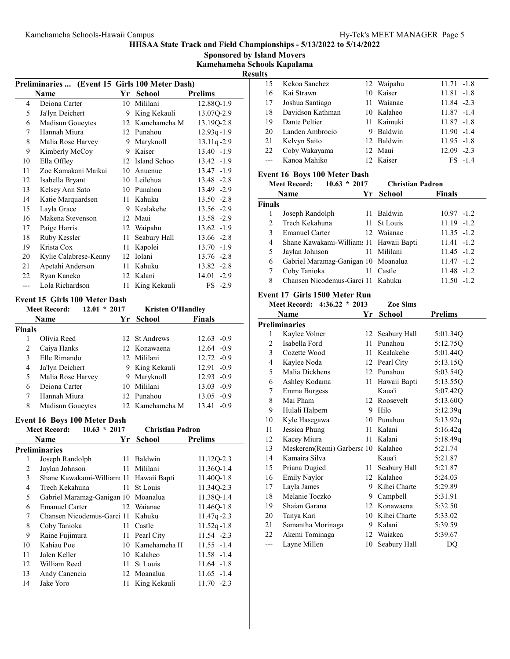Sponsored by Island Movers Kamehameha Schools Kapalama

Results

|     | Preliminaries  (Event 15 Girls 100 Meter Dash) |         |               |                |  |  |
|-----|------------------------------------------------|---------|---------------|----------------|--|--|
|     | Name                                           | Yr      | <b>School</b> | <b>Prelims</b> |  |  |
| 4   | Deiona Carter                                  | 10      | Mililani      | 12.88Q-1.9     |  |  |
| 5   | Ja'lyn Deichert                                | 9       | King Kekauli  | 13.07Q-2.9     |  |  |
| 6   | Madisun Goueytes                               | 12      | Kamehameha M  | 13.19Q-2.8     |  |  |
| 7   | Hannah Miura                                   | 12      | Punahou       | $12.93q - 1.9$ |  |  |
| 8   | Malia Rose Harvey                              | 9       | Maryknoll     | 13.11q-2.9     |  |  |
| 9   | Kimberly McCoy                                 | 9       | Kaiser        | 13.40 -1.9     |  |  |
| 10  | Ella Offley                                    | 12      | Island Schoo  | 13.42 -1.9     |  |  |
| 11  | Zoe Kamakani Maikai                            | 10      | Anuenue       | 13.47 -1.9     |  |  |
| 12  | Isabella Bryant                                |         | 10 Leilehua   | 13.48 -2.8     |  |  |
| 13  | Kelsey Ann Sato                                | 10      | Punahou       | 13.49 -2.9     |  |  |
| 14  | Katie Marquardsen                              | 11      | Kahuku        | $13.50 -2.8$   |  |  |
| 15  | Layla Grace                                    | 9       | Kealakehe     | 13.56 -2.9     |  |  |
| 16  | Makena Stevenson                               | $12-12$ | Maui          | 13.58 -2.9     |  |  |
| 17  | Paige Harris                                   | 12      | Waipahu       | $13.62 - 1.9$  |  |  |
| 18  | Ruby Kessler                                   | 11      | Seabury Hall  | $13.66 - 2.8$  |  |  |
| 19  | Krista Cox                                     | 11      | Kapolei       | $13.70 - 1.9$  |  |  |
| 20  | Kylie Calabrese-Kenny                          | 12      | Iolani        | $13.76 - 2.8$  |  |  |
| 21  | Apetahi Anderson                               | 11      | Kahuku        | $13.82 -2.8$   |  |  |
| 22  | Ryan Kaneko                                    |         | 12 Kalani     | 14.01 -2.9     |  |  |
| --- | Lola Richardson                                | 11      | King Kekauli  | $FS -2.9$      |  |  |
|     |                                                |         |               |                |  |  |

### Event 15 Girls 100 Meter Dash

| <b>Meet Record:</b> |                   | $12.01 * 2017$<br><b>Kristen O'Handley</b> |                  |                 |
|---------------------|-------------------|--------------------------------------------|------------------|-----------------|
|                     | <b>Name</b>       |                                            | Yr School        | <b>Finals</b>   |
| <b>Finals</b>       |                   |                                            |                  |                 |
|                     | Olivia Reed       |                                            | 12 St Andrews    | $12.63 - 0.9$   |
| 2                   | Caiya Hanks       |                                            | 12 Konawaena     | $12.64 - 0.9$   |
| 3                   | Elle Rimando      |                                            | 12 Mililani      | $12.72 - 0.9$   |
| 4                   | Ja'lyn Deichert   |                                            | 9 King Kekauli   | $12.91 - 0.9$   |
| 5                   | Malia Rose Harvey |                                            | 9 Maryknoll      | $12.93 -0.9$    |
| 6                   | Deiona Carter     |                                            | 10 Mililani      | $13.03 - 0.9$   |
| 7                   | Hannah Miura      |                                            | 12 Punahou       | $13.05 -0.9$    |
| 8                   | Madisun Goueytes  |                                            | 12. Kamehameha M | $-0.9$<br>13.41 |

### Event 16 Boys 100 Meter Dash

| $10.63 * 2017$<br><b>Meet Record:</b> |                       | <b>Christian Padron</b>      |          |                                                                                                                                                                                                                                                                                     |
|---------------------------------------|-----------------------|------------------------------|----------|-------------------------------------------------------------------------------------------------------------------------------------------------------------------------------------------------------------------------------------------------------------------------------------|
|                                       |                       |                              | School   | <b>Prelims</b>                                                                                                                                                                                                                                                                      |
|                                       |                       |                              |          |                                                                                                                                                                                                                                                                                     |
| 1                                     | Joseph Randolph       |                              |          | 11.12Q-2.3                                                                                                                                                                                                                                                                          |
| 2                                     | Jaylan Johnson        |                              |          | 11.36Q-1.4                                                                                                                                                                                                                                                                          |
| 3                                     |                       |                              |          | 11.40Q-1.8                                                                                                                                                                                                                                                                          |
| 4                                     | Trech Kekahuna        |                              |          | 11.34Q-2.3                                                                                                                                                                                                                                                                          |
| 5                                     |                       |                              |          | 11.38Q-1.4                                                                                                                                                                                                                                                                          |
| 6                                     | <b>Emanuel Carter</b> |                              |          | 11.46Q-1.8                                                                                                                                                                                                                                                                          |
| 7                                     |                       |                              |          | $11.47q - 2.3$                                                                                                                                                                                                                                                                      |
| 8                                     | Coby Tanioka          |                              | Castle   | $11.52q - 1.8$                                                                                                                                                                                                                                                                      |
| 9                                     | Raine Fujimura        |                              |          | $11.54 -2.3$                                                                                                                                                                                                                                                                        |
| 10                                    | Kahiau Poe            |                              |          | $11.55 - 1.4$                                                                                                                                                                                                                                                                       |
| 11                                    | Jalen Keller          |                              |          | $11.58 - 1.4$                                                                                                                                                                                                                                                                       |
| 12                                    | William Reed          |                              | St Louis | $11.64 - 1.8$                                                                                                                                                                                                                                                                       |
| 13                                    | Andy Canencia         |                              |          | $11.65 - 1.4$                                                                                                                                                                                                                                                                       |
| 14                                    | Jake Yoro             |                              |          | $11.70 -2.3$                                                                                                                                                                                                                                                                        |
|                                       |                       | Name<br><b>Preliminaries</b> |          | Yr<br>11 Baldwin<br>11 Mililani<br>Shane Kawakami-William: 11 Hawaii Bapti<br>11 St Louis<br>Gabriel Maramag-Ganigan 10 Moanalua<br>12 Waianae<br>Chansen Nicodemus-Garci 11 Kahuku<br>11<br>11 Pearl City<br>10 Kamehameha H<br>10 Kalaheo<br>11<br>12 Moanalua<br>11 King Kekauli |

| 11.S |                  |            |               |
|------|------------------|------------|---------------|
| 15   | Kekoa Sanchez    | 12 Waipahu | $11.71 - 1.8$ |
| 16   | Kai Strawn       | 10 Kaiser  | $11.81 - 1.8$ |
| 17   | Joshua Santiago  | 11 Waianae | $11.84 - 2.3$ |
| 18   | Davidson Kathman | 10 Kalaheo | $11.87 - 1.4$ |
| 19   | Dante Peltier    | 11 Kaimuki | $11.87 - 1.8$ |
| 20   | Landen Ambrocio  | 9 Baldwin  | $11.90 - 1.4$ |
| 21   | Kelvyn Saito     | 12 Baldwin | $11.95 - 1.8$ |
| 22   | Coby Wakayama    | 12 Maui    | $12.09 - 2.3$ |
|      | Kanoa Mahiko     | 12 Kaiser  | $FS -1.4$     |
|      |                  |            |               |

### Event 16 Boys 100 Meter Dash

|               | $10.63 * 2017$<br><b>Meet Record:</b>   | <b>Christian Padron</b> |               |
|---------------|-----------------------------------------|-------------------------|---------------|
|               | <b>Name</b>                             | Yr School               | <b>Finals</b> |
| <b>Finals</b> |                                         |                         |               |
|               | Joseph Randolph                         | 11 Baldwin              | $10.97 - 1.2$ |
| $\mathcal{L}$ | Trech Kekahuna                          | 11 St Louis             | $11.19 - 1.2$ |
| 3             | <b>Emanuel Carter</b>                   | 12 Waianae              | $11.35 - 1.2$ |
| 4             | Shane Kawakami-William: 11 Hawaii Bapti |                         | $11.41 - 1.2$ |
| 5             | Jaylan Johnson                          | 11 Mililani             | $11.45 - 1.2$ |
| 6             | Gabriel Maramag-Ganigan 10 Moanalua     |                         | $11.47 - 1.2$ |
| 7             | Coby Tanioka                            | 11 Castle               | $11.48 - 1.2$ |
| 8             | Chansen Nicodemus-Garci 11 Kahuku       |                         | $11.50 - 1.2$ |

#### Event 17 Girls 1500 Meter Run

|     | Meet Record: 4:36.22 * 2013        |    | <b>Zoe Sims</b> |                |
|-----|------------------------------------|----|-----------------|----------------|
|     | Name                               | Yr | <b>School</b>   | <b>Prelims</b> |
|     | <b>Preliminaries</b>               |    |                 |                |
| 1   | Kaylee Volner                      | 12 | Seabury Hall    | 5:01.34Q       |
| 2   | Isabella Ford                      | 11 | Punahou         | 5:12.75Q       |
| 3   | Cozette Wood                       | 11 | Kealakehe       | 5:01.44Q       |
| 4   | Kaylee Noda                        |    | 12 Pearl City   | 5:13.15Q       |
| 5   | Malia Dickhens                     |    | 12 Punahou      | 5:03.54Q       |
| 6   | Ashley Kodama                      |    | 11 Hawaii Bapti | 5:13.55Q       |
| 7   | Emma Burgess                       |    | Kaua'i          | 5:07.42Q       |
| 8   | Mai Pham                           |    | 12 Roosevelt    | 5:13.60Q       |
| 9   | Hulali Halpern                     | 9  | Hilo            | 5:12.39q       |
| 10  | Kyle Hasegawa                      |    | 10 Punahou      | 5:13.92q       |
| 11  | Jessica Phung                      |    | 11 Kalani       | 5:16.42q       |
| 12  | Kacey Miura                        | 11 | Kalani          | 5:18.49q       |
| 13  | Meskerem(Remi) Garbersc 10 Kalaheo |    |                 | 5:21.74        |
| 14  | Kamaira Silva                      |    | Kaua'i          | 5:21.87        |
| 15  | Priana Dugied                      | 11 | Seabury Hall    | 5:21.87        |
| 16  | Emily Naylor                       |    | 12 Kalaheo      | 5:24.03        |
| 17  | Layla James                        | 9  | Kihei Charte    | 5:29.89        |
| 18  | Melanie Toczko                     | 9  | Campbell        | 5:31.91        |
| 19  | Shaian Garana                      |    | 12 Konawaena    | 5:32.50        |
| 20  | Tanya Kari                         |    | 10 Kihei Charte | 5:33.02        |
| 21  | Samantha Morinaga                  | 9  | Kalani          | 5:39.59        |
| 22  | Akemi Tominaga                     | 12 | Waiakea         | 5:39.67        |
| --- | Layne Millen                       | 10 | Seabury Hall    | DQ             |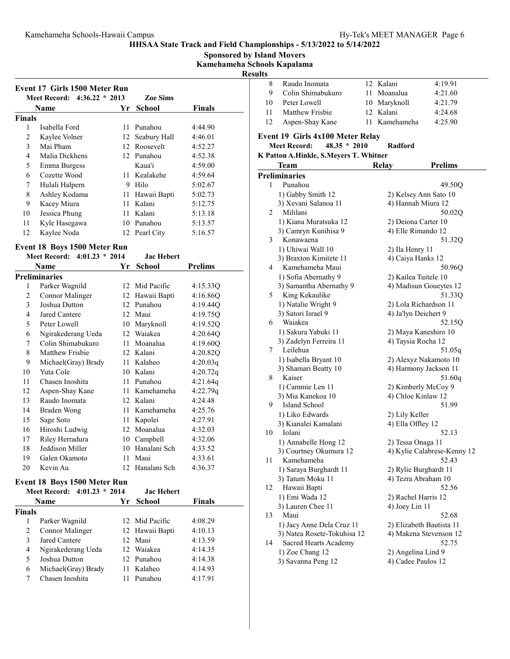Sponsored by Island Movers

Kamehameha Schools Kapalama

Results

|                         |                                                             |      |                   | IVС            |
|-------------------------|-------------------------------------------------------------|------|-------------------|----------------|
|                         | Event 17 Girls 1500 Meter Run                               |      |                   |                |
|                         | Meet Record: 4:36.22 * 2013                                 |      | <b>Zoe Sims</b>   |                |
|                         | Name                                                        | Yr   | <b>School</b>     | <b>Finals</b>  |
| Finals                  |                                                             |      |                   |                |
| 1                       | Isabella Ford                                               | 11   | Punahou           | 4:44.90        |
| $\mathfrak{2}$          | Kaylee Volner                                               | 12   | Seabury Hall      | 4:46.01        |
| 3                       | Mai Pham                                                    |      | 12 Roosevelt      | 4:52.27        |
| $\overline{4}$          | Malia Dickhens                                              |      | 12 Punahou        | 4:52.38        |
| 5                       | Emma Burgess                                                |      | Kaua'i            | 4:59.00        |
| 6                       | Cozette Wood                                                |      | 11 Kealakehe      | 4:59.64        |
| 7                       | Hulali Halpern                                              |      | 9 Hilo            | 5:02.67        |
| $\,$ 8 $\,$             | Ashley Kodama                                               |      | 11 Hawaii Bapti   | 5:02.73        |
| 9                       | Kacey Miura                                                 |      | 11 Kalani         | 5:12.75        |
| 10                      | Jessica Phung                                               |      | 11 Kalani         | 5:13.18        |
| 11                      | Kyle Hasegawa                                               |      | 10 Punahou        | 5:13.57        |
| 12                      | Kaylee Noda                                                 |      | 12 Pearl City     | 5:16.57        |
|                         |                                                             |      |                   |                |
|                         | Event 18 Boys 1500 Meter Run<br>Meet Record: 4:01.23 * 2014 |      | <b>Jac Hebert</b> |                |
|                         | Name                                                        | Yr   | <b>School</b>     | <b>Prelims</b> |
|                         |                                                             |      |                   |                |
| 1                       | <b>Preliminaries</b><br>Parker Wagnild                      |      | 12 Mid Pacific    |                |
| $\mathfrak{2}$          |                                                             |      |                   | 4:15.33Q       |
|                         | <b>Connor Malinger</b>                                      |      | 12 Hawaii Bapti   | 4:16.86Q       |
| 3<br>$\overline{4}$     | Joshua Dutton                                               |      | 12 Punahou        | 4:19.44O       |
| 5                       | Jared Cantere                                               |      | 12 Maui           | 4:19.75Q       |
|                         | Peter Lowell                                                |      | 10 Maryknoll      | 4:19.52Q       |
| 6                       | Ngirakederang Ueda                                          |      | 12 Waiakea        | 4:20.64Q       |
| 7                       | Colin Shimabukuro                                           | 11 - | Moanalua          | 4:19.60Q       |
| 8                       | Matthew Frisbie                                             |      | 12 Kalani         | 4:20.82Q       |
| 9                       | Michael(Gray) Brady                                         |      | 11 Kalaheo        | 4:20.03q       |
| 10                      | Yuta Cole                                                   |      | 10 Kalani         | 4:20.72q       |
| 11                      | Chasen Inoshita                                             |      | 11 Punahou        | 4:21.64q       |
| 12                      | Aspen-Shay Kane                                             | 11 - | Kamehameha        | 4:22.79q       |
| 13                      | Raudo Inomata                                               |      | 12 Kalani         | 4:24.48        |
| 14                      | Braden Wong                                                 | 11 - | Kamehameha        | 4:25.76        |
| 15                      | Sage Soto                                                   | 11   | Kapolei           | 4:27.91        |
| 16                      | Hiroshi Ludwig                                              |      | 12 Moanalua       | 4:32.03        |
| 17                      | Riley Herradura                                             |      | 10 Campbell       | 4:32.06        |
| 18                      | Jeddison Miller                                             |      | 10 Hanalani Sch   | 4:33.52        |
| 19                      | Galen Okamoto                                               |      | 11 Maui           | 4:33.61        |
| 20                      | Kevin Au                                                    | 12   | Hanalani Sch      | 4:36.37        |
|                         | Event 18 Boys 1500 Meter Run                                |      |                   |                |
|                         | Meet Record: 4:01.23 * 2014                                 |      | <b>Jac Hebert</b> |                |
|                         | Name                                                        | Yr   | <b>School</b>     | <b>Finals</b>  |
| Finals                  |                                                             |      |                   |                |
| 1                       | Parker Wagnild                                              | 12   | Mid Pacific       | 4:08.29        |
| $\sqrt{2}$              | Connor Malinger                                             | 12   | Hawaii Bapti      | 4:10.13        |
| 3                       | Jared Cantere                                               | 12   | Maui              | 4:13.59        |
| $\overline{\mathbf{4}}$ | Ngirakederang Ueda                                          |      | 12 Waiakea        | 4:14.35        |
| 5                       | Joshua Dutton                                               |      | 12 Punahou        | 4:14.38        |
| 6                       | Michael(Gray) Brady                                         |      | 11 Kalaheo        | 4:14.93        |
| 7                       | Chasen Inoshita                                             |      | 11 Punahou        | 4:17.91        |
|                         |                                                             |      |                   |                |

|    | Raudo Inomata     | 12 Kalani     | 4:19.91 |
|----|-------------------|---------------|---------|
| 9  | Colin Shimabukuro | 11 Moanalua   | 4:21.60 |
| 10 | Peter Lowell      | 10 Maryknoll  | 4:21.79 |
| 11 | Matthew Frisbie   | 12. Kalani    | 4:24.68 |
| 12 | Aspen-Shay Kane   | 11 Kamehameha | 4:25.90 |
|    |                   |               |         |

# Event 19 Girls 4x100 Meter Relay

#### Meet Record: 48.35 \* 2010 Radford K Patton A.Hinkle, S.Meyers T. Whitner

|    | <b>Team</b>                 | <b>Relay</b> | <b>Prelims</b>              |
|----|-----------------------------|--------------|-----------------------------|
|    | <b>Preliminaries</b>        |              |                             |
| 1  | Punahou                     |              | 49.50Q                      |
|    | 1) Gabby Smith 12           |              | 2) Kelsey Ann Sato 10       |
|    | 3) Xevani Salanoa 11        |              | 4) Hannah Miura 12          |
| 2  | Mililani                    |              | 50.02Q                      |
|    | 1) Kiana Muratsuka 12       |              | 2) Deiona Carter 10         |
|    | 3) Camryn Kunihisa 9        |              | 4) Elle Rimando 12          |
| 3  | Konawaena                   |              | 51.32Q                      |
|    | 1) Uhiwai Wall 10           |              | 2) Ila Henry 11             |
|    | 3) Braxton Kimitete 11      |              | 4) Caiya Hanks 12           |
| 4  | Kamehameha Maui             |              | 50.96Q                      |
|    | 1) Sofia Abernathy 9        |              | 2) Kailea Tuitele 10        |
|    | 3) Samantha Abernathy 9     |              | 4) Madisun Goueytes 12      |
| 5  | King Kekaulike              |              | 51.33O                      |
|    | 1) Natalie Wright 9         |              | 2) Lola Richardson 11       |
|    | 3) Satori Israel 9          |              | 4) Ja'lyn Deichert 9        |
| 6  | Waiakea                     |              | 52.15Q                      |
|    | 1) Sakura Yabuki 11         |              | 2) Maya Kaneshiro 10        |
|    | 3) Zadelyn Ferreira 11      |              | 4) Taysia Rocha 12          |
| 7  | Leilehua                    |              | 51.05q                      |
|    | 1) Isabella Bryant 10       |              | 2) Alexyz Nakamoto 10       |
|    | 3) Shamari Beatty 10        |              | 4) Harmony Jackson 11       |
| 8  | Kaiser                      |              | 51.60q                      |
|    | 1) Cammie Len 11            |              | 2) Kimberly McCoy 9         |
|    | 3) Mia Kanekoa 10           |              | 4) Chloe Kinlaw 12          |
| 9  | Island School               |              | 51.99                       |
|    | 1) Liko Edwards             |              | 2) Lily Keller              |
|    | 3) Kianalei Kamalani        |              | 4) Ella Offley 12           |
| 10 | Iolani                      |              | 52.13                       |
|    | 1) Annabelle Hong 12        |              | 2) Tessa Onaga 11           |
|    | 3) Courtney Okumura 12      |              | 4) Kylie Calabrese-Kenny 12 |
| 11 | Kamehameha                  |              | 52.43                       |
|    | 1) Saraya Burghardt 11      |              | 2) Rylie Burghardt 11       |
|    | 3) Tatum Moku 11            |              | 4) Tezra Abraham 10         |
| 12 | Hawaii Bapti                |              | 52.56                       |
|    | 1) Emi Wada 12              |              | 2) Rachel Harris 12         |
|    | 3) Lauren Chee 11           |              | 4) Joey Lin 11              |
| 13 | Maui                        |              | 52.68                       |
|    | 1) Jacy Anne Dela Cruz 11   |              | 2) Elizabeth Bautista 11    |
|    | 3) Natea Rosete-Tokuhisa 12 |              | 4) Makena Stevenson 12      |
| 14 | Sacred Hearts Academy       |              | 52.75                       |
|    | 1) Zoe Chang 12             |              | 2) Angelina Lind 9          |
|    | 3) Savanna Peng 12          |              | 4) Cadee Paulos 12          |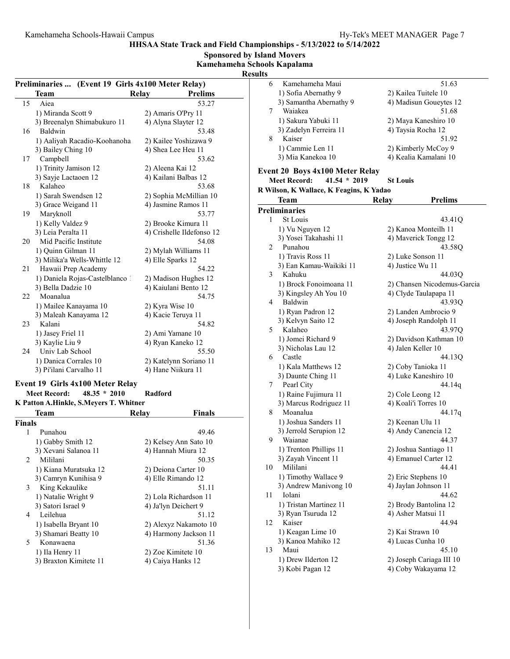Sponsored by Island Movers

Kamehameha Schools Kapalama

Results

| Preliminaries  (Event 19 Girls 4x100 Meter Relay) |                                        |                           |  |  |
|---------------------------------------------------|----------------------------------------|---------------------------|--|--|
|                                                   |                                        |                           |  |  |
|                                                   | Relay<br>Team                          | <b>Prelims</b>            |  |  |
| 15                                                | Aiea                                   | 53.27                     |  |  |
|                                                   | 1) Miranda Scott 9                     | 2) Amaris O'Pry 11        |  |  |
|                                                   | 3) Breenalyn Shimabukuro 11            | 4) Alyna Slayter 12       |  |  |
| 16                                                | Baldwin                                | 53.48                     |  |  |
|                                                   | 1) Aaliyah Racadio-Koohanoha           | 2) Kailee Yoshizawa 9     |  |  |
|                                                   | 3) Bailey Ching 10                     | 4) Shea Lee Heu 11        |  |  |
|                                                   | 17 Campbell                            | 53.62                     |  |  |
|                                                   | 1) Trinity Jamison 12                  | 2) Aleena Kai 12          |  |  |
|                                                   | 3) Sayje Lactaoen 12                   | 4) Kailani Balbas 12      |  |  |
| 18                                                | Kalaheo                                | 53.68                     |  |  |
|                                                   | 1) Sarah Swendsen 12                   | 2) Sophia McMillian 10    |  |  |
|                                                   | 3) Grace Weigand 11                    | 4) Jasmine Ramos 11       |  |  |
| 19                                                | Maryknoll                              | 53.77                     |  |  |
|                                                   | 1) Kelly Valdez 9                      | 2) Brooke Kimura 11       |  |  |
|                                                   | 3) Leia Peralta 11                     | 4) Crishelle Ildefonso 12 |  |  |
| 20                                                | Mid Pacific Institute                  | 54.08                     |  |  |
|                                                   | 1) Ouinn Gilman 11                     | 2) Mylah Williams 11      |  |  |
|                                                   | 3) Milika'a Wells-Whittle 12           | 4) Elle Sparks 12         |  |  |
| 21                                                | Hawaii Prep Academy                    | 54.22                     |  |  |
|                                                   | 1) Daniela Rojas-Castelblanco 1        | 2) Madison Hughes 12      |  |  |
|                                                   | 3) Bella Dadzie 10                     | 4) Kaiulani Bento 12      |  |  |
| 22                                                | Moanalua                               | 54.75                     |  |  |
|                                                   | 1) Mailee Kanayama 10                  | 2) Kyra Wise 10           |  |  |
|                                                   | 3) Maleah Kanayama 12                  | 4) Kacie Teruya 11        |  |  |
| 23                                                | Kalani                                 | 54.82                     |  |  |
|                                                   | 1) Jasey Friel 11                      | 2) Ami Yamane 10          |  |  |
|                                                   | 3) Kaylie Liu 9                        | 4) Ryan Kaneko 12         |  |  |
| 24                                                | Univ Lab School                        | 55.50                     |  |  |
|                                                   | 1) Danica Corrales 10                  | 2) Katelynn Soriano 11    |  |  |
|                                                   | 3) Pi'ilani Carvalho 11                | 4) Hane Niikura 11        |  |  |
|                                                   |                                        |                           |  |  |
|                                                   | Event 19 Girls 4x100 Meter Relay       |                           |  |  |
|                                                   | $48.35 * 2010$<br><b>Meet Record:</b>  | Radford                   |  |  |
|                                                   | K Patton A.Hinkle, S.Meyers T. Whitner |                           |  |  |
|                                                   | Team<br><b>Relay</b>                   | <b>Finals</b>             |  |  |
| <b>Finals</b>                                     |                                        |                           |  |  |
| 1                                                 | Punahou                                | 49.46                     |  |  |
|                                                   | 1) Gabby Smith 12                      | 2) Kelsey Ann Sato 10     |  |  |
|                                                   | 3) Xevani Salanoa 11                   | 4) Hannah Miura 12        |  |  |
| 2                                                 | Mililani                               | 50.35                     |  |  |
|                                                   | 1) Kiana Muratsuka 12                  | 2) Deiona Carter 10       |  |  |
|                                                   | 3) Camryn Kunihisa 9                   | 4) Elle Rimando 12        |  |  |
| 3                                                 | King Kekaulike                         | 51.11                     |  |  |
|                                                   | 1) Natalie Wright 9                    |                           |  |  |
|                                                   |                                        | 2) Lola Richardson 11     |  |  |
| 4                                                 | 3) Satori Israel 9                     | 4) Ja'lyn Deichert 9      |  |  |
|                                                   | Leilehua                               | 51.12                     |  |  |
|                                                   | 1) Isabella Bryant 10                  | 2) Alexyz Nakamoto 10     |  |  |
|                                                   | 3) Shamari Beatty 10                   | 4) Harmony Jackson 11     |  |  |
| 5                                                 | Konawaena                              | 51.36                     |  |  |
|                                                   | 1) Ila Henry 11                        | 2) Zoe Kimitete 10        |  |  |
|                                                   | 3) Braxton Kimitete 11                 | 4) Caiya Hanks 12         |  |  |

| นเเร |                                         |                                |
|------|-----------------------------------------|--------------------------------|
| 6    | Kamehameha Maui                         | 51.63                          |
|      | 1) Sofia Abernathy 9                    | 2) Kailea Tuitele 10           |
|      | 3) Samantha Abernathy 9                 | 4) Madisun Goueytes 12         |
| 7    | Waiakea                                 | 51.68                          |
|      |                                         |                                |
|      | 1) Sakura Yabuki 11                     | 2) Maya Kaneshiro 10           |
|      | 3) Zadelyn Ferreira 11                  | 4) Taysia Rocha 12             |
| 8    | Kaiser                                  | 51.92                          |
|      | 1) Cammie Len 11                        | 2) Kimberly McCoy 9            |
|      | 3) Mia Kanekoa 10                       | 4) Kealia Kamalani 10          |
|      |                                         |                                |
|      | <b>Event 20 Boys 4x100 Meter Relay</b>  |                                |
|      | <b>Meet Record:</b><br>$41.54 * 2019$   | <b>St Louis</b>                |
|      | R Wilson, K Wallace, K Feagins, K Yadao |                                |
|      | Team                                    | <b>Prelims</b><br><b>Relay</b> |
|      | <b>Preliminaries</b>                    |                                |
| 1    | St Louis                                | 43.41Q                         |
|      | 1) Vu Nguyen 12                         | 2) Kanoa Monteilh 11           |
|      | 3) Yosei Takahashi 11                   | 4) Maverick Tongg 12           |
| 2    | Punahou                                 |                                |
|      |                                         | 43.58Q                         |
|      | 1) Travis Ross 11                       | 2) Luke Sonson 11              |
|      | 3) Ean Kamau-Waikiki 11                 | 4) Justice Wu 11               |
| 3    | Kahuku                                  | 44.03O                         |
|      | 1) Brock Fonoimoana 11                  | 2) Chansen Nicodemus-Garcia    |
|      | 3) Kingsley Ah You 10                   | 4) Clyde Taulapapa 11          |
| 4    | Baldwin                                 | 43.93Q                         |
|      | 1) Ryan Padron 12                       | 2) Landen Ambrocio 9           |
|      | 3) Kelvyn Saito 12                      | 4) Joseph Randolph 11          |
| 5.   | Kalaheo                                 | 43.97Q                         |
|      | 1) Jomei Richard 9                      | 2) Davidson Kathman 10         |
|      |                                         | 4) Jalen Keller 10             |
|      | 3) Nicholas Lau 12                      |                                |
| 6    | Castle                                  | 44.13Q                         |
|      | 1) Kala Matthews 12                     | 2) Coby Tanioka 11             |
|      | 3) Daunte Ching 11                      | 4) Luke Kaneshiro 10           |
| 7    | Pearl City                              | 44.14q                         |
|      | 1) Raine Fujimura 11                    | 2) Cole Leong 12               |
|      | 3) Marcus Rodriguez 11                  | 4) Koali'i Torres 10           |
| 8    | Moanalua                                | 44.17q                         |
|      | 1) Joshua Sanders 11                    | 2) Keenan Ulu 11               |
|      | 3) Jerrold Serupion 12                  | 4) Andy Canencia 12            |
| 9    | Waianae                                 | 44.37                          |
|      | 1) Trenton Phillips 11                  | 2) Joshua Santiago 11          |
|      | 3) Zayah Vincent 11                     |                                |
|      |                                         | 4) Emanuel Carter 12           |
| 10   | Mililani                                | 44.41                          |
|      | 1) Timothy Wallace 9                    | 2) Eric Stephens 10            |
|      | 3) Andrew Manivong 10                   | 4) Jaylan Johnson 11           |
| 11   | Iolani                                  | 44.62                          |
|      | 1) Tristan Martinez 11                  | 2) Brody Bantolina 12          |
|      | 3) Ryan Tsuruda 12                      | 4) Asher Matsui 11             |
| 12   | Kaiser                                  | 44.94                          |
|      | 1) Keagan Lime 10                       | 2) Kai Strawn 10               |
|      | 3) Kanoa Mahiko 12                      | 4) Lucas Cunha 10              |
| 13   | Maui                                    | 45.10                          |
|      |                                         |                                |
|      | 1) Drew Ilderton 12                     | 2) Joseph Cariaga III 10       |
|      | 3) Kobi Pagan 12                        | 4) Coby Wakayama 12            |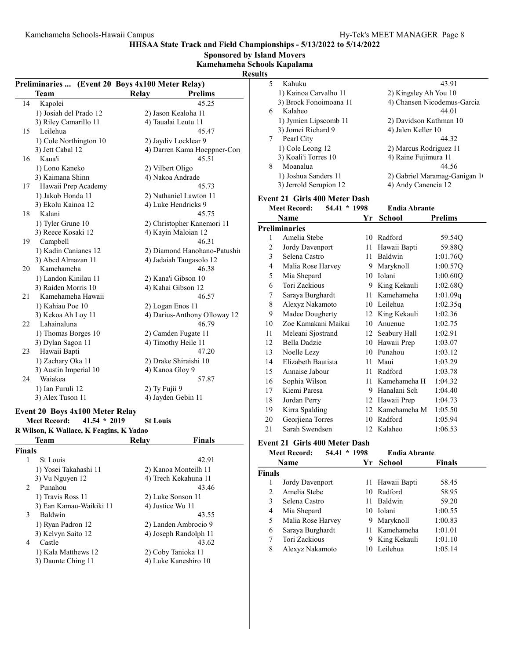| Relay           | <b>Prelims</b><br>45.25<br>45.47<br>45.51                                                                                                                              | 5<br>6<br>$\tau$                                                                                                                                                                                                                                                                                                                                                                                                                                                                                                                                                                                                                                                                                                                                                                                   | Kahuku<br>Kalaheo<br>Pearl City |                                                                                                                                                                                            |                                                                                                                                                                                                                                                                                                                                                                                                                                                                                                                                                                                                                                                                                                                                             |                                                                                                              | 43.91<br>4) Chansen Nicodemus-Garcia<br>44.01<br>44.32                                                                                                                                                                                                                                                                                                                                                                                                                                                                                                                                                                                                                                                |
|-----------------|------------------------------------------------------------------------------------------------------------------------------------------------------------------------|----------------------------------------------------------------------------------------------------------------------------------------------------------------------------------------------------------------------------------------------------------------------------------------------------------------------------------------------------------------------------------------------------------------------------------------------------------------------------------------------------------------------------------------------------------------------------------------------------------------------------------------------------------------------------------------------------------------------------------------------------------------------------------------------------|---------------------------------|--------------------------------------------------------------------------------------------------------------------------------------------------------------------------------------------|---------------------------------------------------------------------------------------------------------------------------------------------------------------------------------------------------------------------------------------------------------------------------------------------------------------------------------------------------------------------------------------------------------------------------------------------------------------------------------------------------------------------------------------------------------------------------------------------------------------------------------------------------------------------------------------------------------------------------------------------|--------------------------------------------------------------------------------------------------------------|-------------------------------------------------------------------------------------------------------------------------------------------------------------------------------------------------------------------------------------------------------------------------------------------------------------------------------------------------------------------------------------------------------------------------------------------------------------------------------------------------------------------------------------------------------------------------------------------------------------------------------------------------------------------------------------------------------|
|                 | 45.73                                                                                                                                                                  |                                                                                                                                                                                                                                                                                                                                                                                                                                                                                                                                                                                                                                                                                                                                                                                                    |                                 |                                                                                                                                                                                            |                                                                                                                                                                                                                                                                                                                                                                                                                                                                                                                                                                                                                                                                                                                                             |                                                                                                              | 44.56<br>2) Gabriel Maramag-Ganigan 1                                                                                                                                                                                                                                                                                                                                                                                                                                                                                                                                                                                                                                                                 |
|                 |                                                                                                                                                                        |                                                                                                                                                                                                                                                                                                                                                                                                                                                                                                                                                                                                                                                                                                                                                                                                    |                                 |                                                                                                                                                                                            |                                                                                                                                                                                                                                                                                                                                                                                                                                                                                                                                                                                                                                                                                                                                             |                                                                                                              |                                                                                                                                                                                                                                                                                                                                                                                                                                                                                                                                                                                                                                                                                                       |
|                 |                                                                                                                                                                        |                                                                                                                                                                                                                                                                                                                                                                                                                                                                                                                                                                                                                                                                                                                                                                                                    |                                 |                                                                                                                                                                                            |                                                                                                                                                                                                                                                                                                                                                                                                                                                                                                                                                                                                                                                                                                                                             |                                                                                                              | <b>Prelims</b>                                                                                                                                                                                                                                                                                                                                                                                                                                                                                                                                                                                                                                                                                        |
| <b>St Louis</b> | 46.31<br>46.38<br>46.57<br>46.79<br>47.20<br>57.87                                                                                                                     | 1<br>2<br>3<br>$\overline{4}$<br>5<br>6<br>7<br>8<br>9<br>10<br>11<br>12<br>13<br>14<br>15<br>16<br>17<br>18<br>19<br>20<br>21                                                                                                                                                                                                                                                                                                                                                                                                                                                                                                                                                                                                                                                                     |                                 |                                                                                                                                                                                            |                                                                                                                                                                                                                                                                                                                                                                                                                                                                                                                                                                                                                                                                                                                                             |                                                                                                              | 59.54Q<br>59.88Q<br>1:01.76Q<br>1:00.57Q<br>1:00.60Q<br>1:02.68Q<br>1:01.09q<br>1:02.35q<br>1:02.36<br>1:02.75<br>1:02.91<br>1:03.07<br>1:03.12<br>1:03.29<br>1:03.78<br>1:04.32<br>1:04.40<br>1:04.73<br>1:05.50<br>1:05.94<br>1:06.53                                                                                                                                                                                                                                                                                                                                                                                                                                                               |
| Relay           | <b>Finals</b>                                                                                                                                                          |                                                                                                                                                                                                                                                                                                                                                                                                                                                                                                                                                                                                                                                                                                                                                                                                    |                                 |                                                                                                                                                                                            |                                                                                                                                                                                                                                                                                                                                                                                                                                                                                                                                                                                                                                                                                                                                             |                                                                                                              |                                                                                                                                                                                                                                                                                                                                                                                                                                                                                                                                                                                                                                                                                                       |
|                 |                                                                                                                                                                        |                                                                                                                                                                                                                                                                                                                                                                                                                                                                                                                                                                                                                                                                                                                                                                                                    |                                 |                                                                                                                                                                                            |                                                                                                                                                                                                                                                                                                                                                                                                                                                                                                                                                                                                                                                                                                                                             |                                                                                                              |                                                                                                                                                                                                                                                                                                                                                                                                                                                                                                                                                                                                                                                                                                       |
|                 | 42.91<br>43.46<br>43.55<br>43.62                                                                                                                                       | 1<br>2<br>3<br>4<br>5<br>6<br>7<br>8                                                                                                                                                                                                                                                                                                                                                                                                                                                                                                                                                                                                                                                                                                                                                               |                                 |                                                                                                                                                                                            |                                                                                                                                                                                                                                                                                                                                                                                                                                                                                                                                                                                                                                                                                                                                             |                                                                                                              | <b>Finals</b><br>58.45<br>58.95<br>59.20<br>1:00.55<br>1:00.83<br>1:01.01<br>1:01.10<br>1:05.14                                                                                                                                                                                                                                                                                                                                                                                                                                                                                                                                                                                                       |
|                 | 1) Cole Northington 10<br>Hawaii Prep Academy<br>Event 20 Boys 4x100 Meter Relay<br>41.54 * 2019<br>R Wilson, K Wallace, K Feagins, K Yadao<br>3) Ean Kamau-Waikiki 11 | Preliminaries  (Event 20 Boys 4x100 Meter Relay)<br>2) Jason Kealoha 11<br>4) Taualai Leutu 11<br>2) Jaydiv Locklear 9<br>4) Darren Kama Hoeppner-Cora<br>2) Vilbert Oligo<br>4) Nakoa Andrade<br>2) Nathaniel Lawton 11<br>4) Luke Hendricks 9<br>45.75<br>2) Christopher Kanemori 11<br>4) Kayin Maloian 12<br>2) Diamond Hanohano-Patushii<br>4) Jadaiah Taugasolo 12<br>2) Kana'i Gibson 10<br>4) Kahai Gibson 12<br>2) Logan Enos 11<br>4) Darius-Anthony Olloway 12<br>2) Camden Fugate 11<br>4) Timothy Heile 11<br>2) Drake Shiraishi 10<br>4) Kanoa Gloy 9<br>2) Ty Fujii 9<br>4) Jayden Gebin 11<br>2) Kanoa Monteilh 11<br>4) Trech Kekahuna 11<br>2) Luke Sonson 11<br>4) Justice Wu 11<br>2) Landen Ambrocio 9<br>4) Joseph Randolph 11<br>2) Coby Tanioka 11<br>4) Luke Kaneshiro 10 | <b>Results</b><br>8             | <b>Sponsored by Island Movers</b><br>Kamehameha Schools Kapalama<br>Moanalua<br><b>Meet Record:</b><br><b>Name</b><br><b>Preliminaries</b><br><b>Meet Record:</b><br>Name<br><b>Finals</b> | 1) Kainoa Carvalho 11<br>3) Brock Fonoimoana 11<br>1) Jymien Lipscomb 11<br>3) Jomei Richard 9<br>1) Cole Leong 12<br>3) Koali'i Torres 10<br>1) Joshua Sanders 11<br>3) Jerrold Serupion 12<br>Amelia Stebe<br>Jordy Davenport<br>Selena Castro<br>Malia Rose Harvey<br>Mia Shepard<br>Tori Zackious<br>Saraya Burghardt<br>Alexyz Nakamoto<br>Madee Dougherty<br>Zoe Kamakani Maikai<br>Meleani Sjostrand<br>Bella Dadzie<br>Noelle Lezy<br>Elizabeth Bautista<br>Annaise Jabour<br>Sophia Wilson<br>Kiemi Paresa<br>Jordan Perry<br>Kirra Spalding<br>Georjiena Torres<br>Sarah Swendsen<br>Jordy Davenport<br>Amelia Stebe<br>Selena Castro<br>Mia Shepard<br>Malia Rose Harvey<br>Saraya Burghardt<br>Tori Zackious<br>Alexyz Nakamoto | <b>Event 21 Girls 400 Meter Dash</b><br>54.41 * 1998<br><b>Event 21 Girls 400 Meter Dash</b><br>54.41 * 1998 | 2) Kingsley Ah You 10<br>2) Davidson Kathman 10<br>4) Jalen Keller 10<br>2) Marcus Rodriguez 11<br>4) Raine Fujimura 11<br>4) Andy Canencia 12<br><b>Endia Abrante</b><br>Yr School<br>10 Radford<br>11 Hawaii Bapti<br>11 Baldwin<br>9 Maryknoll<br>10 Iolani<br>9 King Kekauli<br>11 Kamehameha<br>10 Leilehua<br>12 King Kekauli<br>10 Anuenue<br>12 Seabury Hall<br>10 Hawaii Prep<br>10 Punahou<br>11 Maui<br>11 Radford<br>11 Kamehameha H<br>9 Hanalani Sch<br>12 Hawaii Prep<br>12 Kamehameha M<br>10 Radford<br>12 Kalaheo<br><b>Endia Abrante</b><br>Yr School<br>11 Hawaii Bapti<br>10 Radford<br>11 Baldwin<br>10 Iolani<br>9 Maryknoll<br>11 Kamehameha<br>9 King Kekauli<br>10 Leilehua |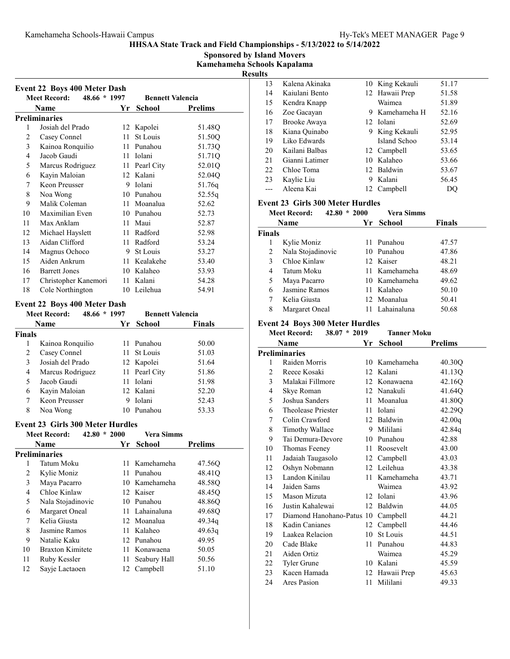Sponsored by Island Movers Kamehameha Schools Kapalama

Results

|    | <b>Meet Record:</b><br>48.66 * 1997 |    | <b>Bennett Valencia</b> |                |
|----|-------------------------------------|----|-------------------------|----------------|
|    | Name                                | Yr | <b>School</b>           | <b>Prelims</b> |
|    | <b>Preliminaries</b>                |    |                         |                |
| 1  | Josiah del Prado                    |    | 12 Kapolei              | 51.48Q         |
| 2  | Casey Connel                        | 11 | St Louis                | 51.50Q         |
| 3  | Kainoa Ronquilio                    |    | 11 Punahou              | 51.73Q         |
| 4  | Jacob Gaudi                         |    | 11 Iolani               | 51.71Q         |
| 5  | Marcus Rodriguez                    | 11 | Pearl City              | 52.01Q         |
| 6  | Kayin Maloian                       |    | 12 Kalani               | 52.04Q         |
| 7  | Keon Preusser                       | 9  | Iolani                  | 51.76q         |
| 8  | Noa Wong                            |    | 10 Punahou              | 52.55q         |
| 9  | Malik Coleman                       | 11 | Moanalua                | 52.62          |
| 10 | Maximilian Even                     |    | 10 Punahou              | 52.73          |
| 11 | Max Anklam                          | 11 | Maui                    | 52.87          |
| 12 | Michael Hayslett                    |    | 11 Radford              | 52.98          |
| 13 | Aidan Clifford                      | 11 | Radford                 | 53.24          |
| 14 | Magnus Ochoco                       |    | 9 St Louis              | 53.27          |
| 15 | Aiden Ankrum                        | 11 | Kealakehe               | 53.40          |
| 16 | <b>Barrett Jones</b>                | 10 | Kalaheo                 | 53.93          |
| 17 | Christopher Kanemori                |    | 11 Kalani               | 54.28          |
| 18 | Cole Northington                    |    | 10 Leilehua             | 54.91          |

### Meet Record: 48.66 \* 1997 Bennett Valencia<br>Name 1997 School Finals Name **Finally School** Finals 1 Kainoa Ronquilio 11 Punahou 50.00<br>2 Casey Connel 11 St Louis 51.03 Casey Connel 3 51.64 Josiah del Prado 12 Kapolei 4 51.86 Marcus Rodriguez 11 Pearl City 5 51.98 Jacob Gaudi 11 Iolani 6 52.20 Kayin Maloian 12 Kalani 7 Keon Preusser 9 Iolani 52.43<br>8 Noa Wong 10 Punahou 53.33

#### Event 23 Girls 300 Meter Hurdles

8 Noa Wong 10 Punahou

|    | <b>Meet Record:</b><br>$42.80 * 2000$ |      | Vera Simms     |                    |
|----|---------------------------------------|------|----------------|--------------------|
|    | <b>Name</b>                           |      | Yr School      | <b>Prelims</b>     |
|    | <b>Preliminaries</b>                  |      |                |                    |
|    | Tatum Moku                            |      | 11 Kamehameha  | 47.56Q             |
| 2  | Kylie Moniz                           |      | 11 Punahou     | 48.41Q             |
| 3  | Maya Pacarro                          |      | 10 Kamehameha  | 48.58Q             |
| 4  | Chloe Kinlaw                          |      | 12 Kaiser      | 48.45 <sub>O</sub> |
| 5  | Nala Stojadinovic                     |      | 10 Punahou     | 48.86Q             |
| 6  | Margaret Oneal                        |      | 11 Lahainaluna | 49.68Q             |
| 7  | Kelia Giusta                          |      | 12 Moanalua    | 49.34q             |
| 8  | Jasmine Ramos                         |      | 11 Kalaheo     | 49.63q             |
| 9  | Natalie Kaku                          |      | 12 Punahou     | 49.95              |
| 10 | Braxton Kimitete                      |      | 11 Konawaena   | 50.05              |
| 11 | Ruby Kessler                          | 11 - | Seabury Hall   | 50.56              |
| 12 | Sayje Lactaoen                        | 12   | Campbell       | 51.10              |
|    |                                       |      |                |                    |

| 13                  | Kalena Akinaka                          |     | 10 King Kekauli                | 51.17          |
|---------------------|-----------------------------------------|-----|--------------------------------|----------------|
| 14                  | Kaiulani Bento                          |     | 12 Hawaii Prep                 | 51.58          |
| 15                  | Kendra Knapp                            |     | Waimea                         | 51.89          |
| 16                  | Zoe Gacayan                             |     | 9 Kamehameha H                 | 52.16          |
| 17                  | Brooke Awaya                            |     | 12 Iolani                      | 52.69          |
| 18                  | Kiana Quinabo                           |     | 9 King Kekauli                 | 52.95          |
| 19                  | Liko Edwards                            |     | Island Schoo                   | 53.14          |
| 20                  | Kailani Balbas                          |     | 12 Campbell                    | 53.65          |
| 21                  | Gianni Latimer                          |     | 10 Kalaheo                     | 53.66          |
| 22                  | Chloe Toma                              |     | 12 Baldwin                     | 53.67          |
| 23                  | Kaylie Liu                              |     | 9 Kalani                       | 56.45          |
| ---                 | Aleena Kai                              |     | 12 Campbell                    | DQ             |
|                     | <b>Event 23 Girls 300 Meter Hurdles</b> |     |                                |                |
|                     | $42.80 * 2000$<br><b>Meet Record:</b>   |     | <b>Vera Simms</b>              |                |
|                     | <b>Name</b>                             | Yr  | <b>School</b>                  | <b>Finals</b>  |
| <b>Finals</b>       |                                         |     |                                |                |
| 1                   |                                         |     | 11 Punahou                     | 47.57          |
| 2                   | Kylie Moniz<br>Nala Stojadinovic        |     | 10 Punahou                     | 47.86          |
| 3                   | Chloe Kinlaw                            |     | 12 Kaiser                      | 48.21          |
|                     |                                         |     |                                | 48.69          |
| 4                   | Tatum Moku                              |     | 11 Kamehameha<br>10 Kamehameha |                |
| 5                   | Maya Pacarro                            |     |                                | 49.62          |
| 6<br>$\overline{7}$ | Jasmine Ramos<br>Kelia Giusta           |     | 11 Kalaheo                     | 50.10          |
|                     |                                         |     | 12 Moanalua<br>11 Lahainaluna  | 50.41          |
| 8                   | Margaret Oneal                          |     |                                | 50.68          |
|                     | <b>Event 24 Boys 300 Meter Hurdles</b>  |     |                                |                |
|                     | <b>Meet Record:</b><br>$38.07 * 2019$   |     |                                |                |
|                     |                                         |     | <b>Tanner Moku</b>             |                |
|                     | <b>Name</b>                             | Yr  | <b>School</b>                  | <b>Prelims</b> |
|                     | <b>Preliminaries</b>                    |     |                                |                |
| 1                   | Raiden Morris                           |     | 10 Kamehameha                  | 40.30Q         |
| 2                   | Reece Kosaki                            |     | 12 Kalani                      | 41.13Q         |
| 3                   | Malakai Fillmore                        |     | 12 Konawaena                   | 42.16Q         |
| 4                   | Skye Roman                              |     | 12 Nanakuli                    | 41.64Q         |
| 5                   | Joshua Sanders                          |     | 11 Moanalua                    | 41.80Q         |
| 6                   | Theolease Priester                      |     | 11 Iolani                      | 42.29Q         |
| 7                   | Colin Crawford                          |     | 12 Baldwin                     | 42.00q         |
| 8                   | <b>Timothy Wallace</b>                  |     | 9 Mililani                     | 42.84q         |
| 9                   | Tai Demura-Devore                       |     | 10 Punahou                     | 42.88          |
| 10                  | Thomas Feeney                           | 11. | Roosevelt                      | 43.00          |
| 11                  | Jadaiah Taugasolo                       |     | 12 Campbell                    | 43.03          |
| 12                  | Oshyn Nobmann                           |     | 12 Leilehua                    | 43.38          |
| 13                  | Landon Kinilau                          | 11  | Kamehameha                     | 43.71          |
| 14                  | Jaiden Sams                             |     | Waimea                         | 43.92          |
| 15                  | Mason Mizuta                            |     | 12 Iolani                      | 43.96          |
| 16                  | Justin Kahalewai                        | 12  | Baldwin                        | 44.05          |
| 17                  | Diamond Hanohano-Patus 10               |     | Campbell                       | 44.21          |
| 18                  | Kadin Canianes                          | 12  | Campbell                       | 44.46          |
| 19                  | Laakea Relacion                         | 10  | St Louis                       | 44.51          |
| 20                  | Cade Blake                              | 11  | Punahou                        | 44.83          |
| 21                  | Aiden Ortiz                             |     | Waimea                         | 45.29          |
| 22                  | Tyler Grune                             |     | 10 Kalani                      | 45.59          |
| 23<br>24            | Kacen Hamada<br><b>Ares Pasion</b>      |     | 12 Hawaii Prep<br>11 Mililani  | 45.63<br>49.33 |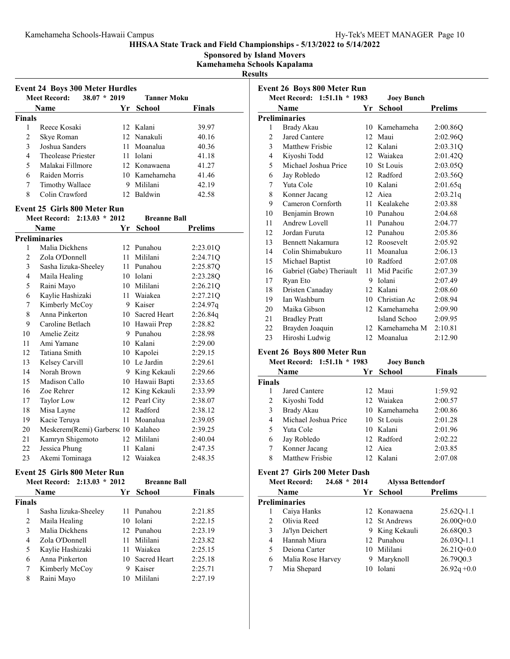Sponsored by Island Movers

Kamehameha Schools Kapalama

Results

| <b>Event 24 Boys 300 Meter Hurdles</b> |                                         |      |                     |                |  |
|----------------------------------------|-----------------------------------------|------|---------------------|----------------|--|
|                                        | $38.07 * 2019$<br><b>Meet Record:</b>   |      | <b>Tanner Moku</b>  |                |  |
|                                        | Name                                    | Yr   | School              | <b>Finals</b>  |  |
| <b>Finals</b>                          |                                         |      |                     |                |  |
| 1                                      | Reece Kosaki                            |      | 12 Kalani           | 39.97          |  |
| 2                                      | Skye Roman                              |      | 12 Nanakuli         | 40.16          |  |
| 3                                      | Joshua Sanders                          |      | 11 Moanalua         | 40.36          |  |
| 4                                      | Theolease Priester                      |      | 11 Iolani           | 41.18          |  |
| 5                                      | Malakai Fillmore                        |      | 12 Konawaena        | 41.27          |  |
| 6                                      | Raiden Morris                           |      | 10 Kamehameha       | 41.46          |  |
| 7                                      | Timothy Wallace                         |      | 9 Mililani          | 42.19          |  |
| 8                                      | Colin Crawford                          |      | 12 Baldwin          | 42.58          |  |
|                                        | <b>Event 25 Girls 800 Meter Run</b>     |      |                     |                |  |
|                                        | Meet Record: 2:13.03 * 2012             |      | <b>Breanne Ball</b> |                |  |
|                                        |                                         |      |                     |                |  |
|                                        | Name                                    | Yr   | <b>School</b>       | <b>Prelims</b> |  |
|                                        | <b>Preliminaries</b>                    |      |                     |                |  |
| 1                                      | Malia Dickhens                          |      | 12 Punahou          | 2:23.01Q       |  |
| 2                                      | Zola O'Donnell                          |      | 11 Mililani         | 2:24.71Q       |  |
| 3                                      | Sasha Iizuka-Sheeley                    |      | 11 Punahou          | 2:25.87Q       |  |
| 4                                      | Maila Healing                           |      | 10 Iolani           | 2:23.28Q       |  |
| 5                                      | Raini Mayo                              |      | 10 Mililani         | 2:26.21Q       |  |
| 6                                      | Kaylie Hashizaki                        |      | 11 Waiakea          | 2:27.21Q       |  |
| 7                                      | Kimberly McCoy                          |      | 9 Kaiser            | 2:24.97q       |  |
| 8                                      | Anna Pinkerton                          |      | 10 Sacred Heart     | 2:26.84q       |  |
| 9                                      | Caroline Betlach                        |      | 10 Hawaii Prep      | 2:28.82        |  |
| 10                                     | Amelie Zeitz                            |      | 9 Punahou           | 2:28.98        |  |
| 11                                     | Ami Yamane                              |      | 10 Kalani           | 2:29.00        |  |
| 12                                     | Tatiana Smith                           |      | 10 Kapolei          | 2:29.15        |  |
| 13                                     | Kelsey Carvill                          |      | 10 Le Jardin        | 2:29.61        |  |
| 14                                     | Norah Brown                             |      | 9 King Kekauli      | 2:29.66        |  |
| 15                                     | Madison Callo                           |      | 10 Hawaii Bapti     | 2:33.65        |  |
| 16                                     | Zoe Rehrer                              |      | 12 King Kekauli     | 2:33.99        |  |
| 17                                     | Taylor Low                              |      | 12 Pearl City       | 2:38.07        |  |
| 18                                     | Misa Layne                              |      | 12 Radford          | 2:38.12        |  |
| 19                                     | Kacie Teruya                            |      | 11 Moanalua         | 2:39.05        |  |
| 20                                     | Meskerem(Remi) Garbersc 10 Kalaheo      |      |                     | 2:39.25        |  |
| 21                                     | Kamryn Shigemoto                        |      | 12 Mililani         | 2:40.04        |  |
| 22                                     | Jessica Phung                           |      | 11 Kalani           | 2:47.35        |  |
| 23                                     | Akemi Tominaga                          |      | 12 Waiakea          | 2:48.35        |  |
|                                        | <b>Event 25 Girls 800 Meter Run</b>     |      |                     |                |  |
|                                        | $2:13.03 * 2012$<br><b>Meet Record:</b> |      | <b>Breanne Ball</b> |                |  |
|                                        | Name                                    | Yr   | <b>School</b>       | <b>Finals</b>  |  |
| <b>Finals</b>                          |                                         |      |                     |                |  |
| 1                                      | Sasha Iizuka-Sheeley                    | 11   | Punahou             | 2:21.85        |  |
| 2                                      | Maila Healing                           |      | 10 Iolani           | 2:22.15        |  |
| 3                                      | Malia Dickhens                          |      | 12 Punahou          | 2:23.19        |  |
| 4                                      | Zola O'Donnell                          | 11 - | Mililani            | 2:23.82        |  |
| 5                                      |                                         |      | 11 Waiakea          |                |  |
| 6                                      | Kaylie Hashizaki<br>Anna Pinkerton      |      | 10 Sacred Heart     | 2:25.15        |  |
|                                        |                                         |      |                     | 2:25.18        |  |
| 7                                      | Kimberly McCoy                          |      | 9 Kaiser            | 2:25.71        |  |
| 8                                      | Raini Mayo                              |      | 10 Mililani         | 2:27.19        |  |

|    | Meet Record: 1:51.1h * 1983 |    | <b>Joey Bunch</b> |                |
|----|-----------------------------|----|-------------------|----------------|
|    | Name                        | Yr | <b>School</b>     | <b>Prelims</b> |
|    | Preliminaries               |    |                   |                |
| 1  | Brady Akau                  |    | 10 Kamehameha     | 2:00.86Q       |
| 2  | Jared Cantere               |    | 12 Maui           | 2:02.960       |
| 3  | Matthew Frishie             |    | 12 Kalani         | 2:03.31Q       |
| 4  | Kiyoshi Todd                |    | 12 Waiakea        | 2:01.42Q       |
| 5  | Michael Joshua Price        |    | 10 St Louis       | 2:03.05Q       |
| 6  | Jay Robledo                 |    | 12 Radford        | 2:03.56Q       |
| 7  | Yuta Cole                   |    | 10 Kalani         | 2:01.65q       |
| 8  | Konner Jacang               |    | 12 Aiea           | 2:03.21q       |
| 9  | Cameron Cornforth           |    | 11 Kealakehe      | 2:03.88        |
| 10 | Benjamin Brown              |    | 10 Punahou        | 2:04.68        |
| 11 | Andrew Lovell               |    | 11 Punahou        | 2:04.77        |
| 12 | Jordan Furuta               |    | 12 Punahou        | 2:05.86        |
| 13 | <b>Bennett Nakamura</b>     |    | 12 Roosevelt      | 2:05.92        |
| 14 | Colin Shimabukuro           |    | 11 Moanalua       | 2:06.13        |
| 15 | Michael Baptist             |    | 10 Radford        | 2:07.08        |
| 16 | Gabriel (Gabe) Theriault    |    | 11 Mid Pacific    | 2:07.39        |
| 17 | Ryan Eto                    |    | 9 Iolani          | 2:07.49        |
| 18 | Dristen Canaday             |    | 12 Kalani         | 2:08.60        |
| 19 | Ian Washburn                |    | 10 Christian Ac   | 2:08.94        |
| 20 | Maika Gibson                |    | 12 Kamehameha     | 2:09.90        |
| 21 | <b>Bradley Pratt</b>        |    | Island Schoo      | 2:09.95        |
| 22 | Brayden Joaquin             |    | 12 Kamehameha M   | 2:10.81        |
| 23 | Hiroshi Ludwig              |    | 12 Moanalua       | 2:12.90        |

#### Event 26 Boys 800 Meter Run

|               | Meet Record: 1:51.1h * 1983 |    | <b>Joey Bunch</b> |               |
|---------------|-----------------------------|----|-------------------|---------------|
|               | Name                        | Yr | <b>School</b>     | <b>Finals</b> |
| <b>Finals</b> |                             |    |                   |               |
|               | Jared Cantere               |    | 12 Maui           | 1:59.92       |
| 2             | Kiyoshi Todd                |    | 12 Waiakea        | 2:00.57       |
| 3             | Brady Akau                  |    | 10 Kamehameha     | 2:00.86       |
| 4             | Michael Joshua Price        |    | 10 St Louis       | 2:01.28       |
| 5             | Yuta Cole                   |    | 10 Kalani         | 2:01.96       |
| 6             | Jay Robledo                 |    | 12 Radford        | 2:02.22       |
| 7             | Konner Jacang               |    | 12 Aiea           | 2:03.85       |
| 8             | Matthew Frisbie             |    | 12 Kalani         | 2:07.08       |

# Event 27 Girls 200 Meter Dash

|               | <b>Meet Record:</b> | $24.68 * 2014$ | <b>Alyssa Bettendorf</b> |                |
|---------------|---------------------|----------------|--------------------------|----------------|
|               | <b>Name</b>         | Yr.            | School                   | <b>Prelims</b> |
|               | Preliminaries       |                |                          |                |
|               | Caiya Hanks         |                | 12 Konawaena             | 25.62Q-1.1     |
| $\mathcal{L}$ | Olivia Reed         |                | 12 St Andrews            | $26.00Q + 0.0$ |
| 3             | Ja'lyn Deichert     | 9              | King Kekauli             | 26.6800.3      |
| 4             | Hannah Miura        |                | 12 Punahou               | 26.03Q-1.1     |
| 5             | Deiona Carter       |                | 10 Mililani              | 26.21Q+0.0     |
| 6             | Malia Rose Harvey   | 9              | Maryknoll                | 26.79Q0.3      |
|               | Mia Shepard         |                | Iolani                   | $26.92q + 0.0$ |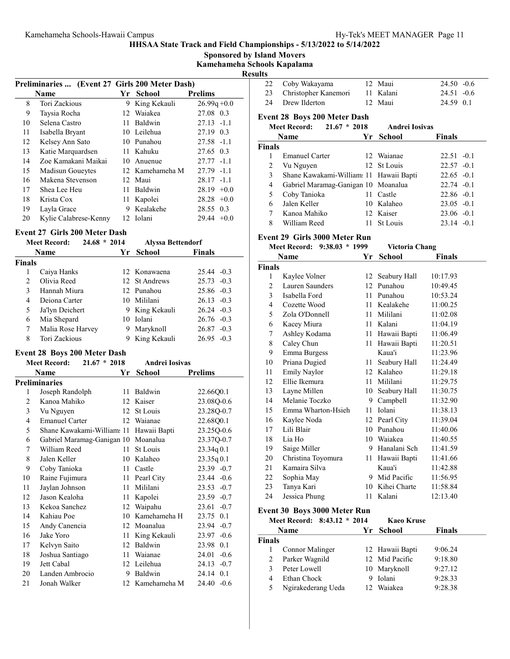Sponsored by Island Movers

Kamehameha Schools Kapalama

| н<br>ı<br>۰.<br>c. |
|--------------------|
|                    |

|    |                                                |    |                 | N               |
|----|------------------------------------------------|----|-----------------|-----------------|
|    | Preliminaries  (Event 27 Girls 200 Meter Dash) |    |                 |                 |
|    | <b>Name</b>                                    |    | Yr School       | <b>Prelims</b>  |
| 8  | Tori Zackious                                  | 9  | King Kekauli    | $26.99q + 0.0$  |
| 9  | Taysia Rocha                                   |    | 12 Waiakea      | 27.08 0.3       |
| 10 | Selena Castro                                  | 11 | Baldwin         | $27.13 - 1.1$   |
| 11 | Isabella Bryant                                |    | 10 Leilehua     | 27.19 0.3       |
| 12 | Kelsey Ann Sato                                | 10 | Punahou         | $27.58 - 1.1$   |
| 13 | Katie Marquardsen                              |    | 11 Kahuku       | 27.65 0.3       |
| 14 | Zoe Kamakani Maikai                            |    | 10 Anuenue      | $27.77 - 1.1$   |
| 15 | Madisun Goueytes                               |    | 12 Kamehameha M | $27.79 - 1.1$   |
| 16 | Makena Stevenson                               |    | 12 Maui         | $28.17 - 1.1$   |
| 17 | Shea Lee Heu                                   | 11 | Baldwin         | 28.19<br>$+0.0$ |
| 18 | Krista Cox                                     | 11 | Kapolei         | $28.28 + 0.0$   |
| 19 | Layla Grace                                    | 9  | Kealakehe       | 28.55 0.3       |
| 20 | Kylie Calabrese-Kenny                          |    | 12 Iolani       | 29.44<br>$+0.0$ |

#### Event 27 Girls 200 Meter Dash

|                | $24.68 * 2014$<br><b>Meet Record:</b> |    | <b>Alyssa Bettendorf</b> |               |
|----------------|---------------------------------------|----|--------------------------|---------------|
|                | <b>Name</b>                           |    | Yr School                | <b>Finals</b> |
| Finals         |                                       |    |                          |               |
|                | Caiya Hanks                           |    | 12 Konawaena             | $25.44 - 0.3$ |
| $\mathfrak{D}$ | Olivia Reed                           |    | 12 St Andrews            | $25.73 -0.3$  |
| 3              | Hannah Miura                          |    | 12 Punahou               | $25.86 - 0.3$ |
| 4              | Deiona Carter                         |    | 10 Mililani              | $26.13 - 0.3$ |
| 5              | Ja'lyn Deichert                       |    | 9 King Kekauli           | $26.24 - 0.3$ |
| 6              | Mia Shepard                           |    | 10 Iolani                | $26.76 - 0.3$ |
|                | Malia Rose Harvey                     | 9. | Maryknoll                | $26.87 - 0.3$ |
| 8              | Tori Zackious                         |    | King Kekauli             | $26.95 - 0.3$ |

### Event 28 Boys 200 Meter Dash

|    | <b>Meet Record:</b><br>$21.67 * 2018$ |    | <b>Andrei Iosivas</b> |                 |
|----|---------------------------------------|----|-----------------------|-----------------|
|    | Name                                  | Yr | <b>School</b>         | <b>Prelims</b>  |
|    | <b>Preliminaries</b>                  |    |                       |                 |
| 1  | Joseph Randolph                       | 11 | Baldwin               | 22.66Q0.1       |
| 2  | Kanoa Mahiko                          | 12 | Kaiser                | 23.08Q-0.6      |
| 3  | Vu Nguyen                             | 12 | St Louis              | 23.28Q-0.7      |
| 4  | <b>Emanuel Carter</b>                 | 12 | Waianae               | 22.68Q0.1       |
| 5  | Shane Kawakami-William: 11            |    | Hawaii Bapti          | 23.25Q-0.6      |
| 6  | Gabriel Maramag-Ganigan 10            |    | Moanalua              | 23.37Q-0.7      |
| 7  | William Reed                          | 11 | St Louis              | 23.34q 0.1      |
| 8  | Jalen Keller                          | 10 | Kalaheo               | 23.35q0.1       |
| 9  | Coby Tanioka                          | 11 | Castle                | $23.39 -0.7$    |
| 10 | Raine Fujimura                        | 11 | Pearl City            | $23.44 - 0.6$   |
| 11 | Jaylan Johnson                        | 11 | Mililani              | $23.53 -0.7$    |
| 12 | Jason Kealoha                         | 11 | Kapolei               | $23.59 -0.7$    |
| 13 | Kekoa Sanchez                         | 12 | Waipahu               | 23.61<br>$-0.7$ |
| 14 | Kahiau Poe                            | 10 | Kamehameha H          | 23.75 0.1       |
| 15 | Andy Canencia                         | 12 | Moanalua              | 23.94<br>$-0.7$ |
| 16 | Jake Yoro                             | 11 | King Kekauli          | $23.97 -0.6$    |
| 17 | Kelvyn Saito                          | 12 | Baldwin               | 23.98<br>0.1    |
| 18 | Joshua Santiago                       | 11 | Waianae               | 24.01<br>$-0.6$ |
| 19 | Jett Cabal                            | 12 | Leilehua              | 24.13<br>$-0.7$ |
| 20 | Landen Ambrocio                       | 9  | Baldwin               | 0.1<br>24.14    |
| 21 | Jonah Walker                          | 12 | Kamehameha M          | 24.40<br>$-0.6$ |

| sults                               |                                         |    |                                        |               |  |  |
|-------------------------------------|-----------------------------------------|----|----------------------------------------|---------------|--|--|
| 22                                  | Coby Wakayama                           |    | 12 Maui                                | $24.50 - 0.6$ |  |  |
| 23                                  | Christopher Kanemori                    |    | 11 Kalani                              | $24.51 - 0.6$ |  |  |
| 24                                  | Drew Ilderton                           |    | 12 Maui                                | 24.59 0.1     |  |  |
| <b>Event 28 Boys 200 Meter Dash</b> |                                         |    |                                        |               |  |  |
|                                     | <b>Meet Record:</b><br>$21.67 * 2018$   |    | <b>Andrei Iosivas</b>                  |               |  |  |
|                                     | Name                                    | Yr | <b>School</b>                          | <b>Finals</b> |  |  |
| <b>Finals</b>                       |                                         |    |                                        |               |  |  |
| 1                                   | <b>Emanuel Carter</b>                   |    | 12 Waianae                             | $22.51 - 0.1$ |  |  |
| 2                                   | Vu Nguyen                               | 12 | St Louis                               | $22.57 - 0.1$ |  |  |
| 3                                   | Shane Kawakami-William: 11 Hawaii Bapti |    |                                        | $22.65 - 0.1$ |  |  |
| 4                                   | Gabriel Maramag-Ganigan 10 Moanalua     |    |                                        | $22.74 - 0.1$ |  |  |
| 5                                   | Coby Tanioka                            | 11 | Castle                                 | $22.86 - 0.1$ |  |  |
| 6                                   | Jalen Keller                            |    | 10 Kalaheo                             | $23.05 -0.1$  |  |  |
| 7                                   | Kanoa Mahiko                            |    | 12 Kaiser                              | $23.06 - 0.1$ |  |  |
| 8                                   | William Reed                            | 11 | St Louis                               | $23.14 - 0.1$ |  |  |
|                                     | Event 29 Girls 3000 Meter Run           |    |                                        |               |  |  |
|                                     | Meet Record: 9:38.03 * 1999             |    | Victoria Chang                         |               |  |  |
|                                     | Name                                    | Yr | School                                 | <b>Finals</b> |  |  |
| <b>Finals</b>                       |                                         |    |                                        |               |  |  |
| 1                                   | Kaylee Volner                           |    | 12 Seabury Hall                        | 10:17.93      |  |  |
| $\mathfrak{D}$                      | Lauren Saunders                         |    | 12 Punahou                             | 10:49.45      |  |  |
| $\gamma$                            | $L = 1$ , $11$ , $L = 1$                |    | $11 \quad \text{D}$ $1 \quad \text{L}$ | 10.52.24      |  |  |

| ∠  | Lauren Saunders    |    | Punanou         | 10.49.49 |  |
|----|--------------------|----|-----------------|----------|--|
| 3  | Isabella Ford      | 11 | Punahou         | 10:53.24 |  |
| 4  | Cozette Wood       | 11 | Kealakehe       | 11:00.25 |  |
| 5  | Zola O'Donnell     | 11 | Mililani        | 11:02.08 |  |
| 6  | Kacey Miura        |    | 11 Kalani       | 11:04.19 |  |
| 7  | Ashley Kodama      | 11 | Hawaii Bapti    | 11:06.49 |  |
| 8  | Caley Chun         | 11 | Hawaii Bapti    | 11:20.51 |  |
| 9  | Emma Burgess       |    | Kaua'i          | 11:23.96 |  |
| 10 | Priana Dugied      | 11 | Seabury Hall    | 11:24.49 |  |
| 11 | Emily Naylor       |    | 12 Kalaheo      | 11:29.18 |  |
| 12 | Ellie Ikemura      | 11 | Mililani        | 11:29.75 |  |
| 13 | Layne Millen       | 10 | Seabury Hall    | 11:30.75 |  |
| 14 | Melanie Toczko     | 9  | Campbell        | 11:32.90 |  |
| 15 | Emma Wharton-Hsieh | 11 | Iolani          | 11:38.13 |  |
| 16 | Kaylee Noda        |    | 12 Pearl City   | 11:39.04 |  |
| 17 | Lili Blair         | 10 | Punahou         | 11:40.06 |  |
| 18 | Lia Ho             |    | 10 Waiakea      | 11:40.55 |  |
| 19 | Saige Miller       | 9  | Hanalani Sch    | 11:41.59 |  |
| 20 | Christina Toyomura | 11 | Hawaii Bapti    | 11:41.66 |  |
| 21 | Kamaira Silva      |    | Kaua'i          | 11:42.88 |  |
| 22 | Sophia May         | 9  | Mid Pacific     | 11:56.95 |  |
| 23 | Tanya Kari         |    | 10 Kihei Charte | 11:58.84 |  |
| 24 | Jessica Phung      | 11 | Kalani          | 12:13.40 |  |
|    |                    |    |                 |          |  |

# Event 30 Boys 3000 Meter Run

|               | Meet Record: 8:43.12 * 2014 |   | <b>Kaeo Kruse</b> |               |
|---------------|-----------------------------|---|-------------------|---------------|
|               | <b>Name</b>                 |   | Yr School         | <b>Finals</b> |
| <b>Finals</b> |                             |   |                   |               |
|               | Connor Malinger             |   | 12 Hawaii Bapti   | 9:06.24       |
| 2             | Parker Wagnild              |   | 12 Mid Pacific    | 9:18.80       |
| 3             | Peter Lowell                |   | 10 Maryknoll      | 9:27.12       |
| 4             | Ethan Chock                 | 9 | Iolani            | 9:28.33       |
| 5             | Ngirakederang Ueda          |   | 12 Waiakea        | 9:28.38       |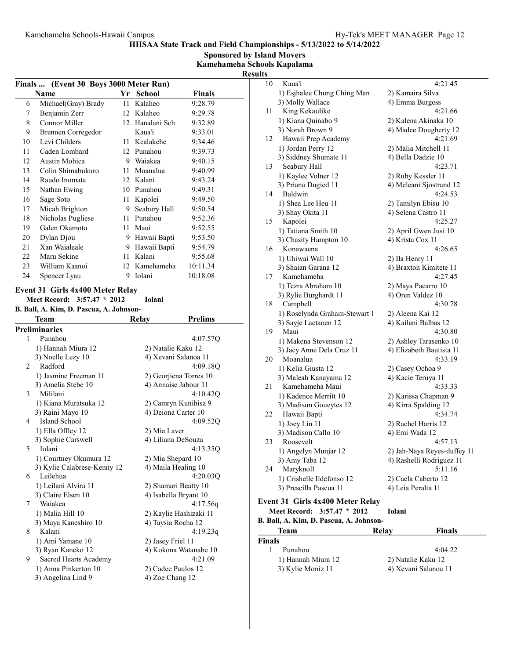Sponsored by Island Movers Kamehameha Schools Kapalama

| спа эспоот 1   |  |
|----------------|--|
| <b>Results</b> |  |
|                |  |

|    | (Event 30 Boys 3000 Meter Run)<br><b>Finals …</b>               |                        |                        |                |  |
|----|-----------------------------------------------------------------|------------------------|------------------------|----------------|--|
|    | Name                                                            | Yr                     | School                 | <b>Finals</b>  |  |
| 6  | Michael(Gray) Brady                                             |                        | 11 Kalaheo             | 9:28.79        |  |
| 7  | Benjamin Zerr                                                   |                        | 12 Kalaheo             | 9:29.78        |  |
| 8  | Connor Miller                                                   |                        | 12 Hanalani Sch        | 9:32.89        |  |
| 9  | <b>Brennen Corregedor</b>                                       |                        | Kaua'i                 | 9:33.01        |  |
| 10 | Levi Childers                                                   |                        | 11 Kealakehe           | 9:34.46        |  |
| 11 | Caden Lombard                                                   |                        | 12 Punahou             | 9:39.73        |  |
| 12 | Austin Mohica                                                   | 9 Waiakea              |                        | 9:40.15        |  |
| 13 | Colin Shimabukuro                                               |                        | 11 Moanalua            | 9:40.99        |  |
| 14 | Raudo Inomata                                                   |                        | 12 Kalani              | 9:43.24        |  |
| 15 | Nathan Ewing                                                    |                        | 10 Punahou             | 9:49.31        |  |
| 16 | Sage Soto                                                       |                        | 11 Kapolei             | 9:49.50        |  |
| 17 | Micah Brighton                                                  |                        | 9 Seabury Hall         | 9:50.54        |  |
| 18 | Nicholas Pugliese                                               |                        | 11 Punahou             | 9:52.36        |  |
| 19 | Galen Okamoto                                                   |                        | 11 Maui                | 9:52.55        |  |
| 20 | Dylan Djou                                                      |                        | 9 Hawaii Bapti         | 9:53.50        |  |
| 21 | Xan Waialeale                                                   |                        | 9 Hawaii Bapti         | 9:54.79        |  |
| 22 | Maru Sekine                                                     |                        | 11 Kalani              | 9:55.68        |  |
| 23 | William Kaanoi                                                  |                        | 12 Kamehameha          | 10:11.34       |  |
| 24 | Spencer Lyau                                                    | 9                      | Iolani                 | 10:18.08       |  |
|    |                                                                 |                        |                        |                |  |
|    | Event 31 Girls 4x400 Meter Relay<br>Meet Record: 3:57.47 * 2012 |                        | <b>Iolani</b>          |                |  |
|    | B. Ball, A. Kim, D. Pascua, A. Johnson-                         |                        |                        |                |  |
|    | Team                                                            |                        | Relay                  | <b>Prelims</b> |  |
|    | <b>Preliminaries</b>                                            |                        |                        |                |  |
| 1  | Punahou                                                         |                        |                        | 4:07.57Q       |  |
|    | 1) Hannah Miura 12                                              |                        | 2) Natalie Kaku 12     |                |  |
|    | 3) Noelle Lezy 10                                               |                        | 4) Xevani Salanoa 11   |                |  |
| 2  | Radford                                                         |                        |                        | 4:09.18Q       |  |
|    | 1) Jasmine Freeman 11                                           | 2) Georjiena Torres 10 |                        |                |  |
|    | 4) Annaise Jabour 11                                            |                        |                        |                |  |
|    |                                                                 |                        |                        |                |  |
| 3  | 3) Amelia Stebe 10<br>Mililani                                  |                        |                        |                |  |
|    |                                                                 |                        |                        | 4:10.42Q       |  |
|    | 1) Kiana Muratsuka 12                                           |                        | 2) Camryn Kunihisa 9   |                |  |
| 4  | 3) Raini Mayo 10<br>Island School                               |                        | 4) Deiona Carter 10    | 4:09.52O       |  |
|    | 1) Ella Offley 12                                               |                        | 2) Mia Laver           |                |  |
|    | 3) Sophie Carswell                                              |                        | 4) Liliana DeSouza     |                |  |
| Ć, | lolanı                                                          |                        |                        | 4:13.35Q       |  |
|    | 1) Courtney Okumura 12                                          |                        | 2) Mia Shepard 10      |                |  |
|    | 3) Kylie Calabrese-Kenny 12                                     |                        | 4) Maila Healing 10    |                |  |
| 6  | Leilehua                                                        |                        |                        | 4:20.03Q       |  |
|    | 1) Leilani Alvira 11                                            |                        | 2) Shamari Beatty 10   |                |  |
|    | 3) Claire Elsen 10                                              |                        | 4) Isabella Bryant 10  |                |  |
| 7  | Waiakea                                                         |                        |                        | 4:17.56q       |  |
|    | 1) Malia Hill 10                                                |                        | 2) Kaylie Hashizaki 11 |                |  |
|    | 3) Maya Kaneshiro 10                                            |                        | 4) Taysia Rocha 12     |                |  |
| 8  | Kalani                                                          |                        |                        | 4:19.23q       |  |
|    | 1) Ami Yamane 10                                                |                        | 2) Jasey Friel 11      |                |  |
|    | 3) Ryan Kaneko 12                                               |                        | 4) Kokona Watanabe 10  |                |  |
| 9  | Sacred Hearts Academy                                           |                        |                        | 4:21.09        |  |
|    | 1) Anna Pinkerton 10                                            |                        | 2) Cadee Paulos 12     |                |  |
|    | 3) Angelina Lind 9                                              |                        | 4) Zoe Chang 12        |                |  |

| 10                                      | Kaua'i                                  | 4:21.45                     |  |  |  |
|-----------------------------------------|-----------------------------------------|-----------------------------|--|--|--|
|                                         | 1) Esjhalee Chung Ching Man 1           | 2) Kamaira Silva            |  |  |  |
|                                         | 3) Molly Wallace                        | 4) Emma Burgess             |  |  |  |
| 11                                      | King Kekaulike                          | 4:21.66                     |  |  |  |
|                                         | 1) Kiana Quinabo 9                      | 2) Kalena Akinaka 10        |  |  |  |
|                                         | 3) Norah Brown 9                        | 4) Madee Dougherty 12       |  |  |  |
| 12                                      | Hawaii Prep Academy                     | 4:21.69                     |  |  |  |
|                                         | 1) Jordan Perry 12                      | 2) Malia Mitchell 11        |  |  |  |
|                                         | 3) Siddney Shumate 11                   | 4) Bella Dadzie 10          |  |  |  |
| 13                                      | Seabury Hall                            | 4:23.71                     |  |  |  |
|                                         | 1) Kaylee Volner 12                     | 2) Ruby Kessler 11          |  |  |  |
|                                         | 3) Priana Dugied 11                     | 4) Meleani Sjostrand 12     |  |  |  |
| 14                                      | Baldwin                                 | 4:24.53                     |  |  |  |
|                                         | 1) Shea Lee Heu 11                      | 2) Tamilyn Ebisu 10         |  |  |  |
|                                         | 3) Shay Okita 11                        | 4) Selena Castro 11         |  |  |  |
|                                         | 15 Kapolei                              | 4:25.27                     |  |  |  |
|                                         | 1) Tatiana Smith 10                     | 2) April Gwen Jusi 10       |  |  |  |
| 16                                      | 3) Chasity Hampton 10<br>Konawaena      | 4) Krista Cox 11<br>4:26.65 |  |  |  |
|                                         | 1) Uhiwai Wall 10                       | 2) Ila Henry 11             |  |  |  |
|                                         | 3) Shaian Garana 12                     | 4) Braxton Kimitete 11      |  |  |  |
| 17                                      | Kamehameha                              | 4:27.45                     |  |  |  |
|                                         | 1) Tezra Abraham 10                     | 2) Maya Pacarro 10          |  |  |  |
|                                         | 3) Rylie Burghardt 11                   | 4) Oren Valdez 10           |  |  |  |
| 18                                      | Campbell                                | 4:30.78                     |  |  |  |
|                                         | 1) Roselynda Graham-Stewart 1           | 2) Aleena Kai 12            |  |  |  |
|                                         | 3) Sayje Lactaoen 12                    | 4) Kailani Balbas 12        |  |  |  |
| 19                                      | Maui                                    | 4:30.80                     |  |  |  |
|                                         | 1) Makena Stevenson 12                  | 2) Ashley Tarasenko 10      |  |  |  |
|                                         | 3) Jacy Anne Dela Cruz 11               | 4) Elizabeth Bautista 11    |  |  |  |
| 20                                      | Moanalua                                | 4:33.19                     |  |  |  |
|                                         | 1) Kelia Giusta 12                      | 2) Casey Ochoa 9            |  |  |  |
|                                         | 3) Maleah Kanayama 12                   | 4) Kacie Teruya 11          |  |  |  |
| 21                                      | Kamehameha Maui                         | 4:33.33                     |  |  |  |
|                                         | 1) Kadence Merritt 10                   | 2) Karissa Chapman 9        |  |  |  |
|                                         | 3) Madisun Goueytes 12                  | 4) Kirra Spalding 12        |  |  |  |
| 22                                      | Hawaii Bapti                            | 4:34.74                     |  |  |  |
|                                         | 1) Joey Lin 11                          | 2) Rachel Harris 12         |  |  |  |
| 23                                      | 3) Madison Callo 10<br>Roosevelt        | 4) Emi Wada 12<br>4:57.13   |  |  |  |
|                                         | 1) Angelyn Munjar 12                    | 2) Jah-Naya Reyes-duffey 11 |  |  |  |
|                                         | 3) Amy Taba 12                          | 4) Rashelli Rodriguez 11    |  |  |  |
| 24                                      | Maryknoll                               | 5:11.16                     |  |  |  |
|                                         | 1) Crishelle Ildefonso 12               | 2) Caela Caberto 12         |  |  |  |
|                                         | 3) Prescilla Pascua 11                  | 4) Leia Peralta 11          |  |  |  |
|                                         |                                         |                             |  |  |  |
|                                         | <b>Event 31 Girls 4x400 Meter Relay</b> |                             |  |  |  |
|                                         | Meet Record: 3:57.47 * 2012             | Iolani                      |  |  |  |
| B. Ball, A. Kim, D. Pascua, A. Johnson- |                                         |                             |  |  |  |
| <b>Relay</b><br><b>Finals</b><br>Team   |                                         |                             |  |  |  |
| <b>Finals</b>                           |                                         |                             |  |  |  |
| 1                                       | Punahou                                 | 4:04.22                     |  |  |  |
|                                         | 1) Hannah Miura 12                      | 2) Natalie Kaku 12          |  |  |  |
|                                         | 3) Kylie Moniz 11                       | 4) Xevani Salanoa 11        |  |  |  |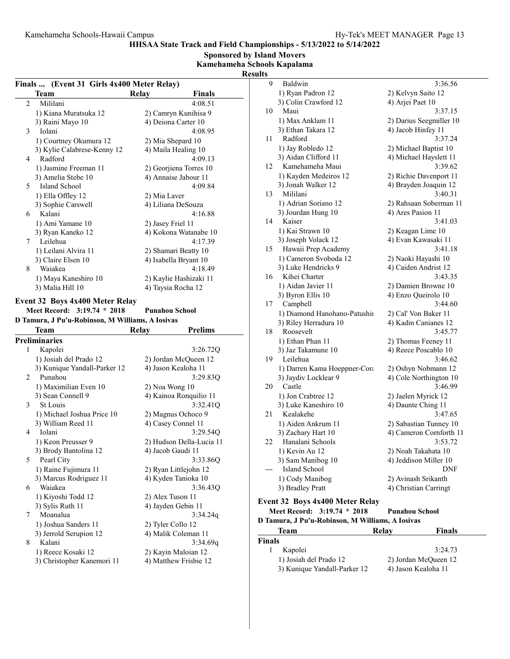Sponsored by Island Movers

Kamehameha Schools Kapalama

Results

|        | Finals  (Event 31 Girls 4x400 Meter Relay)<br>Team                                                                                       | Relay | <b>Finals</b>                                   |
|--------|------------------------------------------------------------------------------------------------------------------------------------------|-------|-------------------------------------------------|
| 2      | Mililani                                                                                                                                 |       | 4:08.51                                         |
|        | 1) Kiana Muratsuka 12                                                                                                                    |       | 2) Camryn Kunihisa 9                            |
|        | 3) Raini Mayo 10                                                                                                                         |       | 4) Deiona Carter 10                             |
| 3      | Iolani                                                                                                                                   |       | 4:08.95                                         |
|        | 1) Courtney Okumura 12                                                                                                                   |       | 2) Mia Shepard 10                               |
|        | 3) Kylie Calabrese-Kenny 12                                                                                                              |       | 4) Maila Healing 10                             |
| 4      | Radford                                                                                                                                  |       | 4:09.13                                         |
|        | 1) Jasmine Freeman 11                                                                                                                    |       | 2) Georjiena Torres 10                          |
|        | 3) Amelia Stebe 10                                                                                                                       |       | 4) Annaise Jabour 11                            |
| 5      | Island School                                                                                                                            |       | 4:09.84                                         |
|        | 1) Ella Offley 12                                                                                                                        |       |                                                 |
|        | 3) Sophie Carswell                                                                                                                       |       | 2) Mia Laver<br>4) Liliana DeSouza              |
| 6      | Kalani                                                                                                                                   |       | 4:16.88                                         |
|        |                                                                                                                                          |       |                                                 |
|        | 1) Ami Yamane 10                                                                                                                         |       | 2) Jasey Friel 11                               |
| 7      | 3) Ryan Kaneko 12<br>Leilehua                                                                                                            |       | 4) Kokona Watanabe 10<br>4:17.39                |
|        |                                                                                                                                          |       |                                                 |
|        | 1) Leilani Alvira 11                                                                                                                     |       | 2) Shamari Beatty 10                            |
| 8      | 3) Claire Elsen 10<br>Waiakea                                                                                                            |       | 4) Isabella Bryant 10                           |
|        |                                                                                                                                          |       | 4:18.49                                         |
|        | 1) Maya Kaneshiro 10                                                                                                                     |       | 2) Kaylie Hashizaki 11                          |
|        | 3) Malia Hill 10                                                                                                                         |       | 4) Taysia Rocha 12                              |
|        | <b>Event 32 Boys 4x400 Meter Relay</b><br>Meet Record: 3:19.74 * 2018<br>D Tamura, J Pu'u-Robinson, M Williams, A Iosivas<br><b>Team</b> |       | <b>Punahou School</b><br><b>Prelims</b>         |
|        | <b>Preliminaries</b>                                                                                                                     | Relay |                                                 |
|        | Kapolei                                                                                                                                  |       | 3:26.72Q                                        |
| 1      | 1) Josiah del Prado 12                                                                                                                   |       | 2) Jordan McQueen 12                            |
|        |                                                                                                                                          |       |                                                 |
| 2      | 3) Kunique Yandall-Parker 12<br>Punahou                                                                                                  |       | 4) Jason Kealoha 11<br>3:29.83Q                 |
|        |                                                                                                                                          |       |                                                 |
|        | 1) Maximilian Even 10<br>3) Sean Connell 9                                                                                               |       | 2) Noa Wong 10                                  |
| 3      | St Louis                                                                                                                                 |       | 4) Kainoa Ronquilio 11<br>3:32.41Q              |
|        | 1) Michael Joshua Price 10                                                                                                               |       | 2) Magnus Ochoco 9                              |
|        | 3) William Reed 11                                                                                                                       |       | 4) Casey Connel 11                              |
|        | Iolani                                                                                                                                   |       | 3:29.54Q                                        |
| 4      | 1) Keon Preusser 9                                                                                                                       |       |                                                 |
|        | 3) Brody Bantolina 12                                                                                                                    |       | 4) Jacob Gaudi 11                               |
|        | Pearl City                                                                                                                               |       | 3:33.86Q                                        |
|        | 1) Raine Fujimura 11                                                                                                                     |       | 2) Ryan Littlejohn 12                           |
|        | 3) Marcus Rodriguez 11                                                                                                                   |       | 2) Hudson Della-Lucia 11<br>4) Kyden Tanioka 10 |
|        | Waiakea                                                                                                                                  |       | 3:36.43Q                                        |
| 5<br>6 | 1) Kiyoshi Todd 12                                                                                                                       |       | 2) Alex Tuson 11                                |
|        | 3) Sylis Ruth 11                                                                                                                         |       | 4) Jayden Gebin 11                              |
|        | Moanalua                                                                                                                                 |       | 3:34.24q                                        |
| 7      | 1) Joshua Sanders 11                                                                                                                     |       | 2) Tyler Collo 12                               |
|        | 3) Jerrold Serupion 12                                                                                                                   |       | 4) Malik Coleman 11                             |
| 8      | Kalani                                                                                                                                   |       | 3:34.69q                                        |
|        | 1) Reece Kosaki 12                                                                                                                       |       | 2) Kayin Maloian 12                             |
|        | 3) Christopher Kanemori 11                                                                                                               |       | 4) Matthew Frisbie 12                           |

| 9                                                    | Baldwin                         | 3:36.56                 |  |  |  |
|------------------------------------------------------|---------------------------------|-------------------------|--|--|--|
|                                                      | 1) Ryan Padron 12               | 2) Kelvyn Saito 12      |  |  |  |
|                                                      | 3) Colin Crawford 12            | 4) Arjei Paet 10        |  |  |  |
| 10                                                   | Maui                            | 3:37.15                 |  |  |  |
|                                                      |                                 |                         |  |  |  |
|                                                      | 1) Max Anklam 11                | 2) Darius Seegmiller 10 |  |  |  |
|                                                      | 3) Ethan Takara 12              | 4) Jacob Hinfey 11      |  |  |  |
| 11                                                   | Radford                         | 3:37.24                 |  |  |  |
|                                                      | 1) Jay Robledo 12               | 2) Michael Baptist 10   |  |  |  |
|                                                      | 3) Aidan Clifford 11            | 4) Michael Hayslett 11  |  |  |  |
| 12                                                   | Kamehameha Maui                 | 3:39.62                 |  |  |  |
|                                                      | 1) Kayden Medeiros 12           | 2) Richie Davenport 11  |  |  |  |
|                                                      | 3) Jonah Walker 12              | 4) Brayden Joaquin 12   |  |  |  |
| 13                                                   | Mililani                        | 3:40.31                 |  |  |  |
|                                                      |                                 |                         |  |  |  |
|                                                      | 1) Adrian Soriano 12            | 2) Rahsaan Soberman 11  |  |  |  |
|                                                      | 3) Jourdan Hung 10              | 4) Ares Pasion 11       |  |  |  |
| 14                                                   | Kaiser                          | 3:41.03                 |  |  |  |
|                                                      | 1) Kai Strawn 10                | 2) Keagan Lime 10       |  |  |  |
|                                                      | 3) Joseph Volack 12             | 4) Evan Kawasaki 11     |  |  |  |
| 15                                                   | Hawaii Prep Academy             | 3:41.18                 |  |  |  |
|                                                      | 1) Cameron Svoboda 12           | 2) Naoki Hayashi 10     |  |  |  |
|                                                      | 3) Luke Hendricks 9             | 4) Caiden Andrist 12    |  |  |  |
| 16                                                   | Kihei Charter                   | 3:43.35                 |  |  |  |
|                                                      | 1) Aidan Javier 11              | 2) Damien Browne 10     |  |  |  |
|                                                      | 3) Byron Ellis 10               | 4) Enzo Queirolo 10     |  |  |  |
| 17                                                   | Campbell                        | 3:44.60                 |  |  |  |
|                                                      | 1) Diamond Hanohano-Patushir    | 2) Cal' Von Baker 11    |  |  |  |
|                                                      | 3) Riley Herradura 10           | 4) Kadin Canianes 12    |  |  |  |
|                                                      |                                 |                         |  |  |  |
| 18                                                   | Roosevelt                       | 3:45.77                 |  |  |  |
|                                                      | 1) Ethan Phan 11                | 2) Thomas Feeney 11     |  |  |  |
|                                                      | 3) Jaz Takamune 10              | 4) Reece Poscablo 10    |  |  |  |
| 19                                                   | Leilehua                        | 3:46.62                 |  |  |  |
|                                                      | 1) Darren Kama Hoeppner-Cora    | 2) Oshyn Nobmann 12     |  |  |  |
|                                                      | 3) Jaydiv Locklear 9            | 4) Cole Northington 10  |  |  |  |
| 20                                                   | Castle                          | 3:46.99                 |  |  |  |
|                                                      | 1) Jon Crabtree 12              | 2) Jaelen Myrick 12     |  |  |  |
|                                                      | 3) Luke Kaneshiro 10            | 4) Daunte Ching 11      |  |  |  |
| 21                                                   | Kealakehe                       | 3:47.65                 |  |  |  |
|                                                      | 1) Aiden Ankrum 11              | 2) Sabastian Tunney 10  |  |  |  |
|                                                      | 3) Zachary Hart 10              | 4) Cameron Cornforth 11 |  |  |  |
| 22                                                   | Hanalani Schools                | 3:53.72                 |  |  |  |
|                                                      |                                 | 2) Noah Takahata 10     |  |  |  |
|                                                      | 1) Kevin Au 12                  |                         |  |  |  |
|                                                      | 3) Sam Manibog 10               | 4) Jeddison Miller 10   |  |  |  |
|                                                      | Island School                   | DNF                     |  |  |  |
|                                                      | 1) Cody Manibog                 | 2) Avinash Srikanth     |  |  |  |
|                                                      | 3) Bradley Pratt                | 4) Christian Carringt   |  |  |  |
|                                                      | Event 32 Boys 4x400 Meter Relay |                         |  |  |  |
| Meet Record: 3:19.74 * 2018<br><b>Punahou School</b> |                                 |                         |  |  |  |
| D Tamura, J Pu'u-Robinson, M Williams, A Iosivas     |                                 |                         |  |  |  |
|                                                      |                                 |                         |  |  |  |
| <b>Team</b><br>Finals<br>Relay                       |                                 |                         |  |  |  |
| <b>Finals</b>                                        |                                 |                         |  |  |  |
| 1                                                    | Kapolei                         | 3:24.73                 |  |  |  |
|                                                      | 1) Josiah del Prado 12          | 2) Jordan McQueen 12    |  |  |  |
|                                                      | 3) Kunique Yandall-Parker 12    | 4) Jason Kealoha 11     |  |  |  |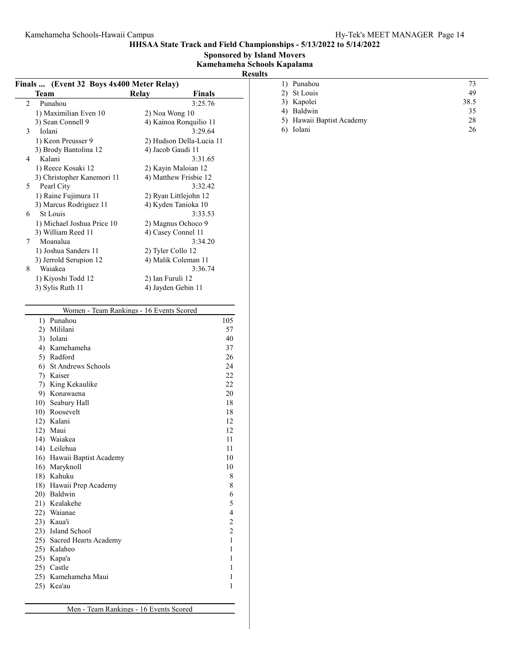Sponsored by Island Movers

Kamehameha Schools Kapalama

|                                           |                  |                          | <b>Results</b> |                           |      |
|-------------------------------------------|------------------|--------------------------|----------------|---------------------------|------|
| Finals  (Event 32 Boys 4x400 Meter Relay) |                  |                          |                | 1) Punahou                | 73   |
| <b>Team</b>                               | Relay            | <b>Finals</b>            |                | 2) St Louis               | 49   |
| Punahou<br>$\overline{2}$                 |                  | 3:25.76                  |                | 3) Kapolei                | 38.5 |
| 1) Maximilian Even 10                     | 2) Noa Wong 10   |                          |                | 4) Baldwin                | 35   |
| 3) Sean Connell 9                         |                  | 4) Kainoa Ronquilio 11   |                | 5) Hawaii Baptist Academy | 28   |
| Iolani<br>3                               |                  | 3:29.64                  |                | 6) Iolani                 | 26   |
| 1) Keon Preusser 9                        |                  | 2) Hudson Della-Lucia 11 |                |                           |      |
| 3) Brody Bantolina 12                     |                  | 4) Jacob Gaudi 11        |                |                           |      |
| Kalani<br>4                               |                  | 3:31.65                  |                |                           |      |
| 1) Reece Kosaki 12                        |                  | 2) Kayin Maloian 12      |                |                           |      |
| 3) Christopher Kanemori 11                |                  | 4) Matthew Frisbie 12    |                |                           |      |
| Pearl City<br>5                           |                  | 3:32.42                  |                |                           |      |
| 1) Raine Fujimura 11                      |                  | 2) Ryan Littlejohn 12    |                |                           |      |
| 3) Marcus Rodriguez 11                    |                  | 4) Kyden Tanioka 10      |                |                           |      |
| St Louis<br>6                             |                  | 3:33.53                  |                |                           |      |
| 1) Michael Joshua Price 10                |                  | 2) Magnus Ochoco 9       |                |                           |      |
| 3) William Reed 11                        |                  | 4) Casey Connel 11       |                |                           |      |
| Moanalua<br>7                             |                  | 3:34.20                  |                |                           |      |
| 1) Joshua Sanders 11                      |                  | 2) Tyler Collo 12        |                |                           |      |
| 3) Jerrold Serupion 12                    |                  | 4) Malik Coleman 11      |                |                           |      |
| Waiakea<br>8                              |                  | 3:36.74                  |                |                           |      |
| 1) Kiyoshi Todd 12                        | 2) Ian Furuli 12 |                          |                |                           |      |
| 3) Sylis Ruth 11                          |                  | 4) Jayden Gebin 11       |                |                           |      |
| Women - Team Rankings - 16 Events Scored  |                  |                          |                |                           |      |
| 1) Punahou                                |                  | 105                      |                |                           |      |
| 2) Mililani                               |                  | 57                       |                |                           |      |
| 3) Iolani                                 |                  | 40                       |                |                           |      |
| 4) Kamehameha                             |                  | 37                       |                |                           |      |
| 5) Radford                                |                  | 26                       |                |                           |      |
| 6) St Andrews Schools                     |                  | 24                       |                |                           |      |
| 7) Kaiser                                 |                  | $22\,$                   |                |                           |      |
| 7) King Kekaulike                         |                  | $22\,$                   |                |                           |      |
| 9) Konawaena                              |                  | 20                       |                |                           |      |
| 10) Seabury Hall                          |                  | 18                       |                |                           |      |
| 10) Roosevelt                             |                  | 18                       |                |                           |      |
| 12) Kalani                                |                  | 12                       |                |                           |      |
| 12) Maui                                  |                  | 12                       |                |                           |      |
| 14) Waiakea                               |                  | 11                       |                |                           |      |
| 14) Leilehua                              |                  | 11                       |                |                           |      |
| 16) Hawaii Baptist Academy                |                  | $10\,$                   |                |                           |      |
| 16) Maryknoll                             |                  | $10\,$                   |                |                           |      |
| 18) Kahuku                                |                  | $\,$ 8 $\,$              |                |                           |      |
| 18) Hawaii Prep Academy                   |                  | $\,$ $\,$                |                |                           |      |
| 20) Baldwin                               |                  | 6                        |                |                           |      |
| 21) Kealakehe                             |                  | 5                        |                |                           |      |
| 22) Waianae                               |                  | $\overline{\mathcal{A}}$ |                |                           |      |
| 23) Kaua'i                                |                  | $\overline{c}$           |                |                           |      |
| 23) Island School                         |                  | $\overline{c}$           |                |                           |      |
| 25) Sacred Hearts Academy                 |                  | $\mathbf{1}$             |                |                           |      |
| 25) Kalaheo                               |                  | $\mathbf{1}$             |                |                           |      |
| 25) Kapa'a                                |                  | $\mathbf{1}$             |                |                           |      |
| 25) Castle                                |                  | $\mathbf{1}$             |                |                           |      |
|                                           |                  | 1                        |                |                           |      |
| 25) Kamehameha Maui                       |                  |                          |                |                           |      |